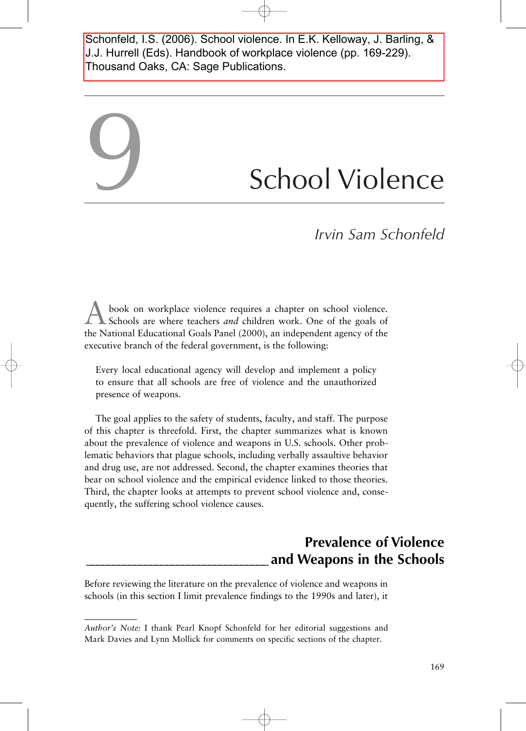Schonfeld, I.S. (2006). School violence. In E.K. Kelloway, J. Barling, & J.J. Hurrell (Eds). Handbook of workplace violence (pp. 169-229). Thousand Oaks, CA: Sage Publications.

# School Violence

*Irvin Sam Schonfeld*

book on workplace violence requires a chapter on school violence. Schools are where teachers *and* children work. One of the goals of the National Educational Goals Panel (2000), an independent agency of the executive branch of the federal government, is the following:

9

Every local educational agency will develop and implement a policy to ensure that all schools are free of violence and the unauthorized presence of weapons.

The goal applies to the safety of students, faculty, and staff. The purpose of this chapter is threefold. First, the chapter summarizes what is known about the prevalence of violence and weapons in U.S. schools. Other problematic behaviors that plague schools, including verbally assaultive behavior and drug use, are not addressed. Second, the chapter examines theories that bear on school violence and the empirical evidence linked to those theories. Third, the chapter looks at attempts to prevent school violence and, consequently, the suffering school violence causes.

# **Prevalence of Violence \_\_\_\_\_\_\_\_\_\_\_\_\_\_\_\_\_\_\_\_\_\_\_\_\_\_\_\_\_\_\_\_\_\_ and Weapons in the Schools**

Before reviewing the literature on the prevalence of violence and weapons in schools (in this section I limit prevalence findings to the 1990s and later), it

*Author's Note:* I thank Pearl Knopf Schonfeld for her editorial suggestions and Mark Davies and Lynn Mollick for comments on specific sections of the chapter.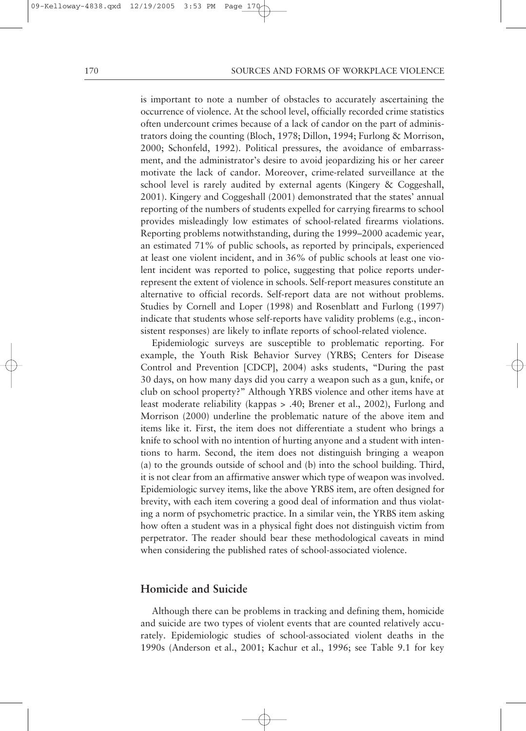is important to note a number of obstacles to accurately ascertaining the occurrence of violence. At the school level, officially recorded crime statistics often undercount crimes because of a lack of candor on the part of administrators doing the counting (Bloch, 1978; Dillon, 1994; Furlong & Morrison, 2000; Schonfeld, 1992). Political pressures, the avoidance of embarrassment, and the administrator's desire to avoid jeopardizing his or her career motivate the lack of candor. Moreover, crime-related surveillance at the school level is rarely audited by external agents (Kingery & Coggeshall, 2001). Kingery and Coggeshall (2001) demonstrated that the states' annual reporting of the numbers of students expelled for carrying firearms to school provides misleadingly low estimates of school-related firearms violations. Reporting problems notwithstanding, during the 1999–2000 academic year, an estimated 71% of public schools, as reported by principals, experienced at least one violent incident, and in 36% of public schools at least one violent incident was reported to police, suggesting that police reports underrepresent the extent of violence in schools. Self-report measures constitute an alternative to official records. Self-report data are not without problems. Studies by Cornell and Loper (1998) and Rosenblatt and Furlong (1997) indicate that students whose self-reports have validity problems (e.g., inconsistent responses) are likely to inflate reports of school-related violence.

Epidemiologic surveys are susceptible to problematic reporting. For example, the Youth Risk Behavior Survey (YRBS; Centers for Disease Control and Prevention [CDCP], 2004) asks students, "During the past 30 days, on how many days did you carry a weapon such as a gun, knife, or club on school property?" Although YRBS violence and other items have at least moderate reliability (kappas > .40; Brener et al., 2002), Furlong and Morrison (2000) underline the problematic nature of the above item and items like it. First, the item does not differentiate a student who brings a knife to school with no intention of hurting anyone and a student with intentions to harm. Second, the item does not distinguish bringing a weapon (a) to the grounds outside of school and (b) into the school building. Third, it is not clear from an affirmative answer which type of weapon was involved. Epidemiologic survey items, like the above YRBS item, are often designed for brevity, with each item covering a good deal of information and thus violating a norm of psychometric practice. In a similar vein, the YRBS item asking how often a student was in a physical fight does not distinguish victim from perpetrator. The reader should bear these methodological caveats in mind when considering the published rates of school-associated violence.

## **Homicide and Suicide**

Although there can be problems in tracking and defining them, homicide and suicide are two types of violent events that are counted relatively accurately. Epidemiologic studies of school-associated violent deaths in the 1990s (Anderson et al., 2001; Kachur et al., 1996; see Table 9.1 for key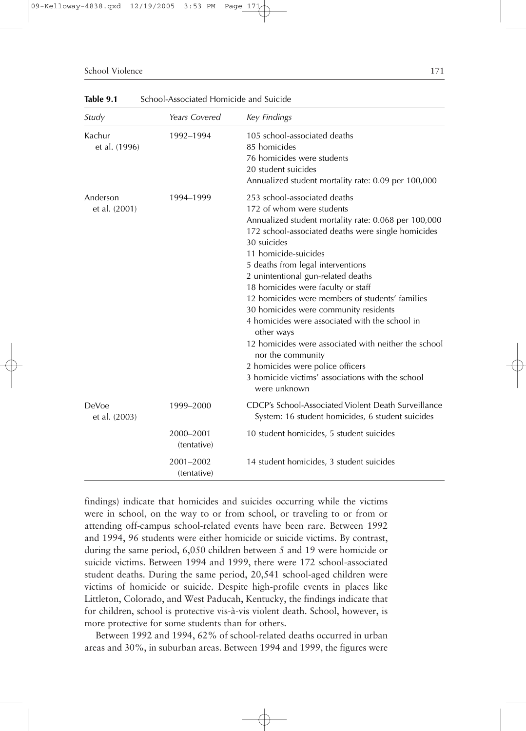#### School Violence 2012 171

| Study                     | Years Covered            | Key Findings                                                                                                                                                                                                                                                                                                                                                                                                                                                                                                                                                                                                                                                                     |
|---------------------------|--------------------------|----------------------------------------------------------------------------------------------------------------------------------------------------------------------------------------------------------------------------------------------------------------------------------------------------------------------------------------------------------------------------------------------------------------------------------------------------------------------------------------------------------------------------------------------------------------------------------------------------------------------------------------------------------------------------------|
| Kachur<br>et al. (1996)   | 1992-1994                | 105 school-associated deaths<br>85 homicides<br>76 homicides were students<br>20 student suicides<br>Annualized student mortality rate: 0.09 per 100,000                                                                                                                                                                                                                                                                                                                                                                                                                                                                                                                         |
| Anderson<br>et al. (2001) | 1994-1999                | 253 school-associated deaths<br>172 of whom were students<br>Annualized student mortality rate: 0.068 per 100,000<br>172 school-associated deaths were single homicides<br>30 suicides<br>11 homicide-suicides<br>5 deaths from legal interventions<br>2 unintentional gun-related deaths<br>18 homicides were faculty or staff<br>12 homicides were members of students' families<br>30 homicides were community residents<br>4 homicides were associated with the school in<br>other ways<br>12 homicides were associated with neither the school<br>nor the community<br>2 homicides were police officers<br>3 homicide victims' associations with the school<br>were unknown |
| DeVoe<br>et al. (2003)    | 1999-2000                | CDCP's School-Associated Violent Death Surveillance<br>System: 16 student homicides, 6 student suicides                                                                                                                                                                                                                                                                                                                                                                                                                                                                                                                                                                          |
|                           | 2000-2001<br>(tentative) | 10 student homicides, 5 student suicides                                                                                                                                                                                                                                                                                                                                                                                                                                                                                                                                                                                                                                         |
|                           | 2001-2002<br>(tentative) | 14 student homicides, 3 student suicides                                                                                                                                                                                                                                                                                                                                                                                                                                                                                                                                                                                                                                         |

**Table 9.1** School-Associated Homicide and Suicide

findings) indicate that homicides and suicides occurring while the victims were in school, on the way to or from school, or traveling to or from or attending off-campus school-related events have been rare. Between 1992 and 1994, 96 students were either homicide or suicide victims. By contrast, during the same period, 6,050 children between 5 and 19 were homicide or suicide victims. Between 1994 and 1999, there were 172 school-associated student deaths. During the same period, 20,541 school-aged children were victims of homicide or suicide. Despite high-profile events in places like Littleton, Colorado, and West Paducah, Kentucky, the findings indicate that for children, school is protective vis-à-vis violent death. School, however, is more protective for some students than for others.

Between 1992 and 1994, 62% of school-related deaths occurred in urban areas and 30%, in suburban areas. Between 1994 and 1999, the figures were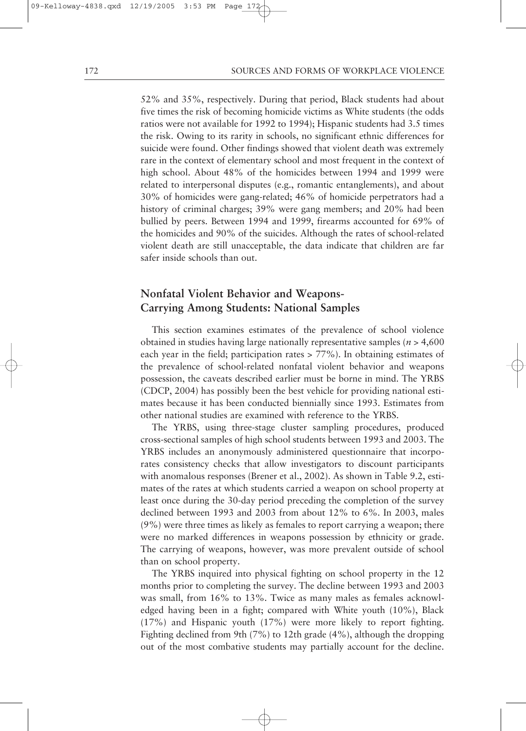52% and 35%, respectively. During that period, Black students had about five times the risk of becoming homicide victims as White students (the odds ratios were not available for 1992 to 1994); Hispanic students had 3.5 times the risk. Owing to its rarity in schools, no significant ethnic differences for suicide were found. Other findings showed that violent death was extremely rare in the context of elementary school and most frequent in the context of high school. About 48% of the homicides between 1994 and 1999 were related to interpersonal disputes (e.g., romantic entanglements), and about 30% of homicides were gang-related; 46% of homicide perpetrators had a history of criminal charges; 39% were gang members; and 20% had been bullied by peers. Between 1994 and 1999, firearms accounted for 69% of the homicides and 90% of the suicides. Although the rates of school-related violent death are still unacceptable, the data indicate that children are far safer inside schools than out.

# **Nonfatal Violent Behavior and Weapons-Carrying Among Students: National Samples**

This section examines estimates of the prevalence of school violence obtained in studies having large nationally representative samples (*n* > 4,600 each year in the field; participation rates > 77%). In obtaining estimates of the prevalence of school-related nonfatal violent behavior and weapons possession, the caveats described earlier must be borne in mind. The YRBS (CDCP, 2004) has possibly been the best vehicle for providing national estimates because it has been conducted biennially since 1993. Estimates from other national studies are examined with reference to the YRBS.

The YRBS, using three-stage cluster sampling procedures, produced cross-sectional samples of high school students between 1993 and 2003. The YRBS includes an anonymously administered questionnaire that incorporates consistency checks that allow investigators to discount participants with anomalous responses (Brener et al., 2002). As shown in Table 9.2, estimates of the rates at which students carried a weapon on school property at least once during the 30-day period preceding the completion of the survey declined between 1993 and 2003 from about 12% to 6%. In 2003, males (9%) were three times as likely as females to report carrying a weapon; there were no marked differences in weapons possession by ethnicity or grade. The carrying of weapons, however, was more prevalent outside of school than on school property.

The YRBS inquired into physical fighting on school property in the 12 months prior to completing the survey. The decline between 1993 and 2003 was small, from 16% to 13%. Twice as many males as females acknowledged having been in a fight; compared with White youth (10%), Black (17%) and Hispanic youth (17%) were more likely to report fighting. Fighting declined from 9th (7%) to 12th grade (4%), although the dropping out of the most combative students may partially account for the decline.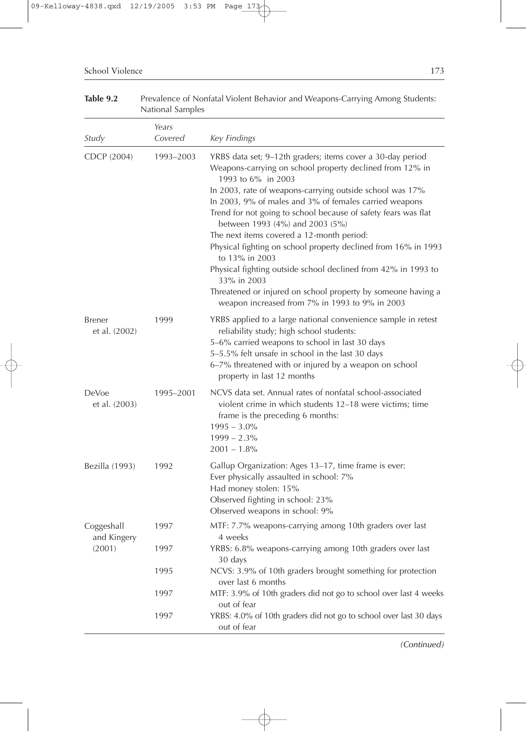|                           | National Samples |                                                                                                                                                                                                                                                                                                                                                                                                                                                                                                                                                                                                                                                                                                            |
|---------------------------|------------------|------------------------------------------------------------------------------------------------------------------------------------------------------------------------------------------------------------------------------------------------------------------------------------------------------------------------------------------------------------------------------------------------------------------------------------------------------------------------------------------------------------------------------------------------------------------------------------------------------------------------------------------------------------------------------------------------------------|
|                           | Years            |                                                                                                                                                                                                                                                                                                                                                                                                                                                                                                                                                                                                                                                                                                            |
| Study                     | Covered          | Key Findings                                                                                                                                                                                                                                                                                                                                                                                                                                                                                                                                                                                                                                                                                               |
| CDCP (2004)               | 1993-2003        | YRBS data set; 9-12th graders; items cover a 30-day period<br>Weapons-carrying on school property declined from 12% in<br>1993 to 6% in 2003<br>In 2003, rate of weapons-carrying outside school was 17%<br>In 2003, 9% of males and 3% of females carried weapons<br>Trend for not going to school because of safety fears was flat<br>between 1993 (4%) and 2003 (5%)<br>The next items covered a 12-month period:<br>Physical fighting on school property declined from 16% in 1993<br>to 13% in 2003<br>Physical fighting outside school declined from 42% in 1993 to<br>33% in 2003<br>Threatened or injured on school property by someone having a<br>weapon increased from 7% in 1993 to 9% in 2003 |
| Brener<br>et al. (2002)   | 1999             | YRBS applied to a large national convenience sample in retest<br>reliability study; high school students:<br>5-6% carried weapons to school in last 30 days<br>5-5.5% felt unsafe in school in the last 30 days<br>6-7% threatened with or injured by a weapon on school<br>property in last 12 months                                                                                                                                                                                                                                                                                                                                                                                                     |
| DeVoe<br>et al. (2003)    | 1995–2001        | NCVS data set. Annual rates of nonfatal school-associated<br>violent crime in which students 12-18 were victims; time<br>frame is the preceding 6 months:<br>$1995 - 3.0\%$<br>$1999 - 2.3\%$<br>$2001 - 1.8\%$                                                                                                                                                                                                                                                                                                                                                                                                                                                                                            |
| Bezilla (1993)            | 1992             | Gallup Organization: Ages 13-17, time frame is ever:<br>Ever physically assaulted in school: 7%<br>Had money stolen: 15%<br>Observed fighting in school: 23%<br>Observed weapons in school: 9%                                                                                                                                                                                                                                                                                                                                                                                                                                                                                                             |
| Coggeshall<br>and Kingery | 1997             | MTF: 7.7% weapons-carrying among 10th graders over last<br>4 weeks                                                                                                                                                                                                                                                                                                                                                                                                                                                                                                                                                                                                                                         |
| (2001)                    | 1997             | YRBS: 6.8% weapons-carrying among 10th graders over last<br>30 days                                                                                                                                                                                                                                                                                                                                                                                                                                                                                                                                                                                                                                        |
|                           | 1995             | NCVS: 3.9% of 10th graders brought something for protection<br>over last 6 months                                                                                                                                                                                                                                                                                                                                                                                                                                                                                                                                                                                                                          |
|                           | 1997             | MTF: 3.9% of 10th graders did not go to school over last 4 weeks<br>out of fear                                                                                                                                                                                                                                                                                                                                                                                                                                                                                                                                                                                                                            |
|                           | 1997             | YRBS: 4.0% of 10th graders did not go to school over last 30 days<br>out of fear                                                                                                                                                                                                                                                                                                                                                                                                                                                                                                                                                                                                                           |

Table 9.2 Prevalence of Nonfatal Violent Behavior and Weapons-Carrying Among Students:

*(Continued)*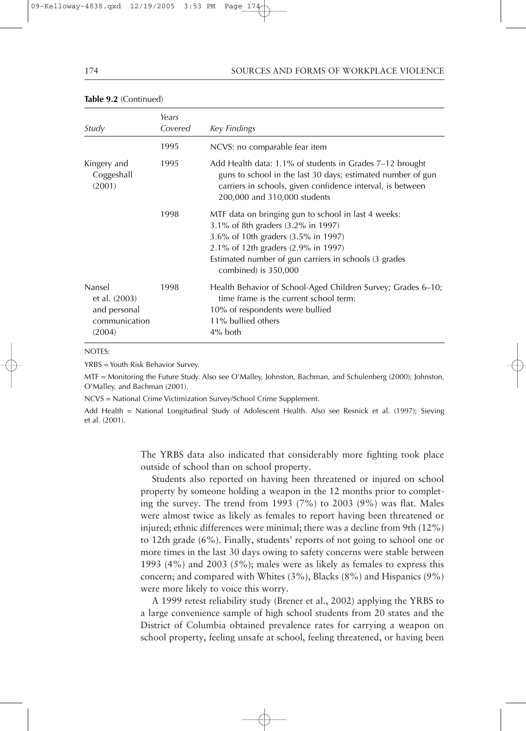| 174 | SOURCES AND FORMS OF WORKPLACE VIOLENCE |  |
|-----|-----------------------------------------|--|
|     |                                         |  |

| Study                                                              | Years<br>Covered | Key Findings                                                                                                                                                                                                                                             |
|--------------------------------------------------------------------|------------------|----------------------------------------------------------------------------------------------------------------------------------------------------------------------------------------------------------------------------------------------------------|
|                                                                    | 1995             | NCVS: no comparable fear item                                                                                                                                                                                                                            |
| Kingery and<br>Coggeshall<br>(2001)                                | 1995             | Add Health data: 1.1% of students in Grades 7-12 brought<br>guns to school in the last 30 days; estimated number of gun<br>carriers in schools, given confidence interval, is between<br>200,000 and 310,000 students                                    |
|                                                                    | 1998             | MTF data on bringing gun to school in last 4 weeks:<br>3.1% of 8th graders (3.2% in 1997)<br>3.6% of 10th graders (3.5% in 1997)<br>2.1% of 12th graders (2.9% in 1997)<br>Estimated number of gun carriers in schools (3 grades<br>combined) is 350,000 |
| Nansel<br>et al. (2003)<br>and personal<br>communication<br>(2004) | 1998             | Health Behavior of School-Aged Children Survey; Grades 6–10;<br>time frame is the current school term:<br>10% of respondents were bullied<br>11% bullied others<br>4% both                                                                               |

#### **Table 9.2** (Continued)

NOTES:

YRBS = Youth Risk Behavior Survey.

MTF = Monitoring the Future Study. Also see O'Malley, Johnston, Bachman, and Schulenberg (2000); Johnston, O'Malley, and Bachman (2001).

NCVS = National Crime Victimization Survey/School Crime Supplement.

Add Health = National Longitudinal Study of Adolescent Health. Also see Resnick et al. (1997); Sieving et al. (2001).

> The YRBS data also indicated that considerably more fighting took place outside of school than on school property.

> Students also reported on having been threatened or injured on school property by someone holding a weapon in the 12 months prior to completing the survey. The trend from 1993 (7%) to 2003 (9%) was flat. Males were almost twice as likely as females to report having been threatened or injured; ethnic differences were minimal; there was a decline from 9th (12%) to 12th grade (6%). Finally, students' reports of not going to school one or more times in the last 30 days owing to safety concerns were stable between 1993 (4%) and 2003 (5%); males were as likely as females to express this concern; and compared with Whites (3%), Blacks (8%) and Hispanics (9%) were more likely to voice this worry.

> A 1999 retest reliability study (Brener et al., 2002) applying the YRBS to a large convenience sample of high school students from 20 states and the District of Columbia obtained prevalence rates for carrying a weapon on school property, feeling unsafe at school, feeling threatened, or having been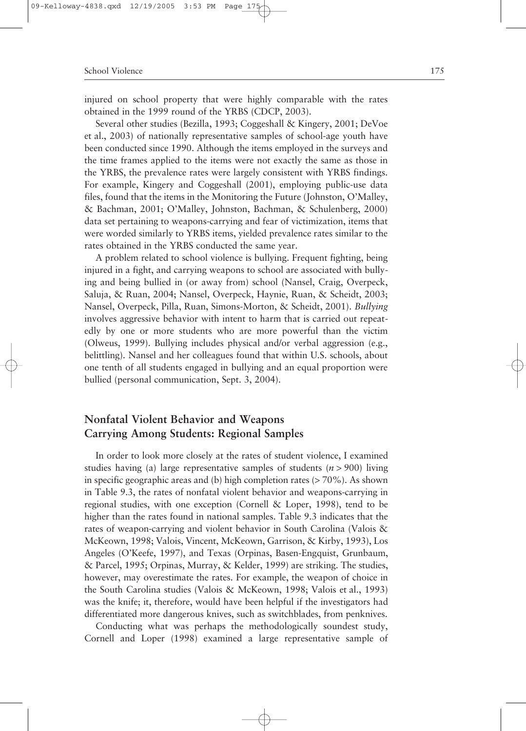injured on school property that were highly comparable with the rates obtained in the 1999 round of the YRBS (CDCP, 2003).

Several other studies (Bezilla, 1993; Coggeshall & Kingery, 2001; DeVoe et al., 2003) of nationally representative samples of school-age youth have been conducted since 1990. Although the items employed in the surveys and the time frames applied to the items were not exactly the same as those in the YRBS, the prevalence rates were largely consistent with YRBS findings. For example, Kingery and Coggeshall (2001), employing public-use data files, found that the items in the Monitoring the Future (Johnston, O'Malley, & Bachman, 2001; O'Malley, Johnston, Bachman, & Schulenberg, 2000) data set pertaining to weapons-carrying and fear of victimization, items that were worded similarly to YRBS items, yielded prevalence rates similar to the rates obtained in the YRBS conducted the same year.

A problem related to school violence is bullying. Frequent fighting, being injured in a fight, and carrying weapons to school are associated with bullying and being bullied in (or away from) school (Nansel, Craig, Overpeck, Saluja, & Ruan, 2004; Nansel, Overpeck, Haynie, Ruan, & Scheidt, 2003; Nansel, Overpeck, Pilla, Ruan, Simons-Morton, & Scheidt, 2001). *Bullying* involves aggressive behavior with intent to harm that is carried out repeatedly by one or more students who are more powerful than the victim (Olweus, 1999). Bullying includes physical and/or verbal aggression (e.g., belittling). Nansel and her colleagues found that within U.S. schools, about one tenth of all students engaged in bullying and an equal proportion were bullied (personal communication, Sept. 3, 2004).

# **Nonfatal Violent Behavior and Weapons Carrying Among Students: Regional Samples**

In order to look more closely at the rates of student violence, I examined studies having (a) large representative samples of students (*n* > 900) living in specific geographic areas and (b) high completion rates  $(> 70\%)$ . As shown in Table 9.3, the rates of nonfatal violent behavior and weapons-carrying in regional studies, with one exception (Cornell & Loper, 1998), tend to be higher than the rates found in national samples. Table 9.3 indicates that the rates of weapon-carrying and violent behavior in South Carolina (Valois & McKeown, 1998; Valois, Vincent, McKeown, Garrison, & Kirby, 1993), Los Angeles (O'Keefe, 1997), and Texas (Orpinas, Basen-Engquist, Grunbaum, & Parcel, 1995; Orpinas, Murray, & Kelder, 1999) are striking. The studies, however, may overestimate the rates. For example, the weapon of choice in the South Carolina studies (Valois & McKeown, 1998; Valois et al., 1993) was the knife; it, therefore, would have been helpful if the investigators had differentiated more dangerous knives, such as switchblades, from penknives.

Conducting what was perhaps the methodologically soundest study, Cornell and Loper (1998) examined a large representative sample of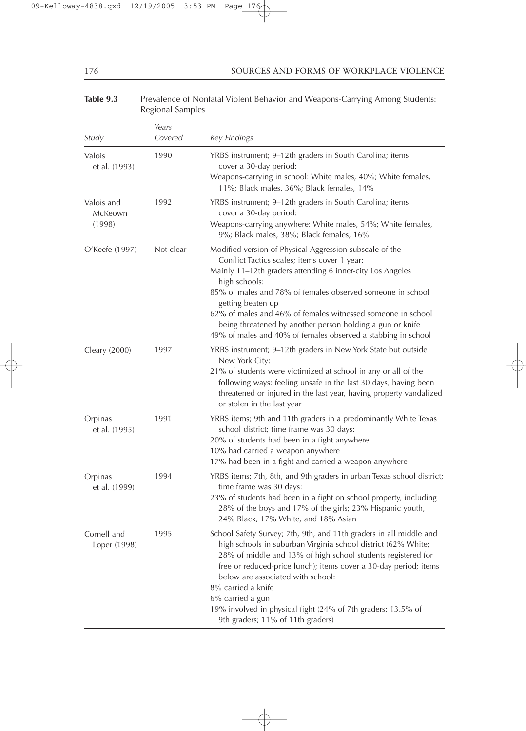## 176 SOURCES AND FORMS OF WORKPLACE VIOLENCE

# Table 9.3 Prevalence of Nonfatal Violent Behavior and Weapons-Carrying Among Students: Regional Samples

| Study                           | Years<br>Covered | Key Findings                                                                                                                                                                                                                                                                                                                                                                                                                                                          |
|---------------------------------|------------------|-----------------------------------------------------------------------------------------------------------------------------------------------------------------------------------------------------------------------------------------------------------------------------------------------------------------------------------------------------------------------------------------------------------------------------------------------------------------------|
| Valois<br>et al. (1993)         | 1990             | YRBS instrument; 9-12th graders in South Carolina; items<br>cover a 30-day period:<br>Weapons-carrying in school: White males, 40%; White females,                                                                                                                                                                                                                                                                                                                    |
| Valois and<br>McKeown<br>(1998) | 1992             | 11%; Black males, 36%; Black females, 14%<br>YRBS instrument; 9–12th graders in South Carolina; items<br>cover a 30-day period:<br>Weapons-carrying anywhere: White males, 54%; White females,<br>9%; Black males, 38%; Black females, 16%                                                                                                                                                                                                                            |
| O'Keefe (1997)                  | Not clear        | Modified version of Physical Aggression subscale of the<br>Conflict Tactics scales; items cover 1 year:<br>Mainly 11-12th graders attending 6 inner-city Los Angeles<br>high schools:<br>85% of males and 78% of females observed someone in school<br>getting beaten up<br>62% of males and 46% of females witnessed someone in school<br>being threatened by another person holding a gun or knife<br>49% of males and 40% of females observed a stabbing in school |
| Cleary (2000)                   | 1997             | YRBS instrument; 9-12th graders in New York State but outside<br>New York City:<br>21% of students were victimized at school in any or all of the<br>following ways: feeling unsafe in the last 30 days, having been<br>threatened or injured in the last year, having property vandalized<br>or stolen in the last year                                                                                                                                              |
| Orpinas<br>et al. (1995)        | 1991             | YRBS items; 9th and 11th graders in a predominantly White Texas<br>school district; time frame was 30 days:<br>20% of students had been in a fight anywhere<br>10% had carried a weapon anywhere<br>17% had been in a fight and carried a weapon anywhere                                                                                                                                                                                                             |
| Orpinas<br>et al. (1999)        | 1994             | YRBS items; 7th, 8th, and 9th graders in urban Texas school district;<br>time frame was 30 days:<br>23% of students had been in a fight on school property, including<br>28% of the boys and 17% of the girls; 23% Hispanic youth,<br>24% Black, 17% White, and 18% Asian                                                                                                                                                                                             |
| Cornell and<br>Loper (1998)     | 1995             | School Safety Survey; 7th, 9th, and 11th graders in all middle and<br>high schools in suburban Virginia school district (62% White;<br>28% of middle and 13% of high school students registered for<br>free or reduced-price lunch); items cover a 30-day period; items<br>below are associated with school:<br>8% carried a knife<br>6% carried a gun<br>19% involved in physical fight (24% of 7th graders; 13.5% of<br>9th graders; 11% of 11th graders)           |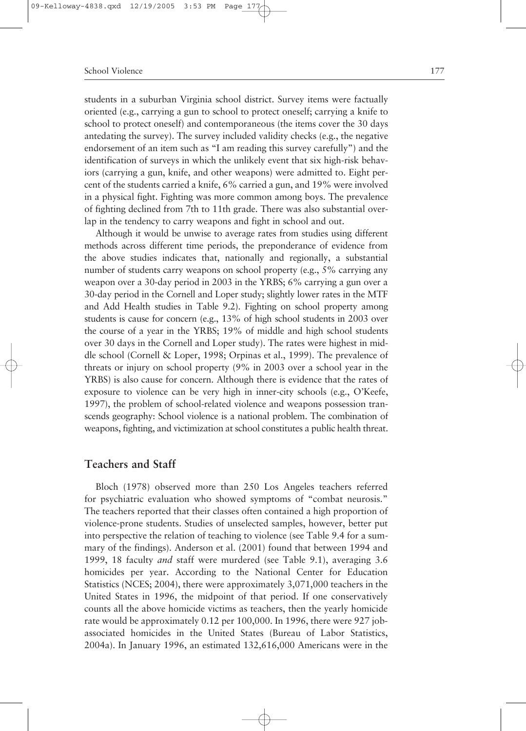#### School Violence 2008 177

students in a suburban Virginia school district. Survey items were factually oriented (e.g., carrying a gun to school to protect oneself; carrying a knife to school to protect oneself) and contemporaneous (the items cover the 30 days antedating the survey). The survey included validity checks (e.g., the negative endorsement of an item such as "I am reading this survey carefully") and the identification of surveys in which the unlikely event that six high-risk behaviors (carrying a gun, knife, and other weapons) were admitted to. Eight percent of the students carried a knife, 6% carried a gun, and 19% were involved in a physical fight. Fighting was more common among boys. The prevalence of fighting declined from 7th to 11th grade. There was also substantial overlap in the tendency to carry weapons and fight in school and out.

Although it would be unwise to average rates from studies using different methods across different time periods, the preponderance of evidence from the above studies indicates that, nationally and regionally, a substantial number of students carry weapons on school property (e.g., 5% carrying any weapon over a 30-day period in 2003 in the YRBS; 6% carrying a gun over a 30-day period in the Cornell and Loper study; slightly lower rates in the MTF and Add Health studies in Table 9.2). Fighting on school property among students is cause for concern (e.g., 13% of high school students in 2003 over the course of a year in the YRBS; 19% of middle and high school students over 30 days in the Cornell and Loper study). The rates were highest in middle school (Cornell & Loper, 1998; Orpinas et al., 1999). The prevalence of threats or injury on school property (9% in 2003 over a school year in the YRBS) is also cause for concern. Although there is evidence that the rates of exposure to violence can be very high in inner-city schools (e.g., O'Keefe, 1997), the problem of school-related violence and weapons possession transcends geography: School violence is a national problem. The combination of weapons, fighting, and victimization at school constitutes a public health threat.

## **Teachers and Staff**

Bloch (1978) observed more than 250 Los Angeles teachers referred for psychiatric evaluation who showed symptoms of "combat neurosis." The teachers reported that their classes often contained a high proportion of violence-prone students. Studies of unselected samples, however, better put into perspective the relation of teaching to violence (see Table 9.4 for a summary of the findings). Anderson et al. (2001) found that between 1994 and 1999, 18 faculty *and* staff were murdered (see Table 9.1), averaging 3.6 homicides per year. According to the National Center for Education Statistics (NCES; 2004), there were approximately 3,071,000 teachers in the United States in 1996, the midpoint of that period. If one conservatively counts all the above homicide victims as teachers, then the yearly homicide rate would be approximately 0.12 per 100,000. In 1996, there were 927 jobassociated homicides in the United States (Bureau of Labor Statistics, 2004a). In January 1996, an estimated 132,616,000 Americans were in the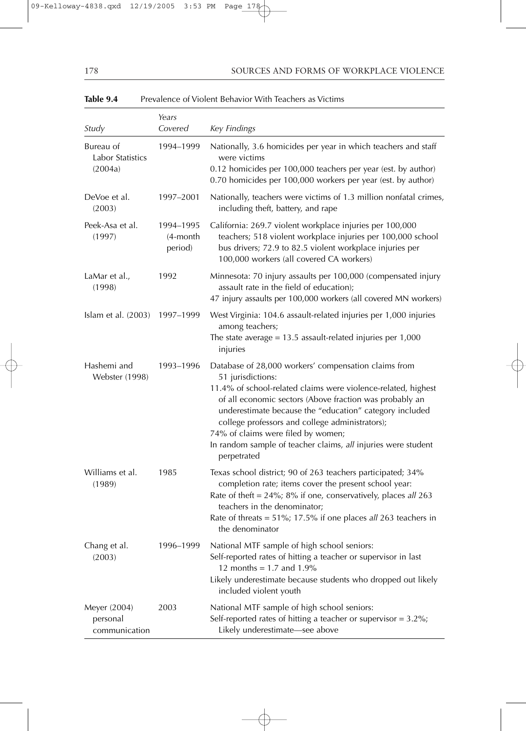## 178 SOURCES AND FORMS OF WORKPLACE VIOLENCE

| Study                                     | Years<br>Covered                    | Key Findings                                                                                                                                                                                                                                                                                                                                                                                                                              |
|-------------------------------------------|-------------------------------------|-------------------------------------------------------------------------------------------------------------------------------------------------------------------------------------------------------------------------------------------------------------------------------------------------------------------------------------------------------------------------------------------------------------------------------------------|
| Bureau of<br>Labor Statistics<br>(2004a)  | 1994-1999                           | Nationally, 3.6 homicides per year in which teachers and staff<br>were victims<br>0.12 homicides per 100,000 teachers per year (est. by author)<br>0.70 homicides per 100,000 workers per year (est. by author)                                                                                                                                                                                                                           |
| DeVoe et al.<br>(2003)                    | 1997-2001                           | Nationally, teachers were victims of 1.3 million nonfatal crimes,<br>including theft, battery, and rape                                                                                                                                                                                                                                                                                                                                   |
| Peek-Asa et al.<br>(1997)                 | 1994-1995<br>$(4$ -month<br>period) | California: 269.7 violent workplace injuries per 100,000<br>teachers; 518 violent workplace injuries per 100,000 school<br>bus drivers; 72.9 to 82.5 violent workplace injuries per<br>100,000 workers (all covered CA workers)                                                                                                                                                                                                           |
| LaMar et al.,<br>(1998)                   | 1992                                | Minnesota: 70 injury assaults per 100,000 (compensated injury<br>assault rate in the field of education);<br>47 injury assaults per 100,000 workers (all covered MN workers)                                                                                                                                                                                                                                                              |
| Islam et al. $(2003)$                     | 1997-1999                           | West Virginia: 104.6 assault-related injuries per 1,000 injuries<br>among teachers;<br>The state average = $13.5$ assault-related injuries per $1,000$<br>injuries                                                                                                                                                                                                                                                                        |
| Hashemi and<br><b>Webster</b> (1998)      | 1993–1996                           | Database of 28,000 workers' compensation claims from<br>51 jurisdictions:<br>11.4% of school-related claims were violence-related, highest<br>of all economic sectors (Above fraction was probably an<br>underestimate because the "education" category included<br>college professors and college administrators);<br>74% of claims were filed by women;<br>In random sample of teacher claims, all injuries were student<br>perpetrated |
| Williams et al.<br>(1989)                 | 1985                                | Texas school district; 90 of 263 teachers participated; 34%<br>completion rate; items cover the present school year:<br>Rate of theft = $24\%$ ; $8\%$ if one, conservatively, places all 263<br>teachers in the denominator;<br>Rate of threats = $51\%$ ; 17.5% if one places all 263 teachers in<br>the denominator                                                                                                                    |
| Chang et al.<br>(2003)                    | 1996-1999                           | National MTF sample of high school seniors:<br>Self-reported rates of hitting a teacher or supervisor in last<br>12 months = $1.7$ and $1.9\%$<br>Likely underestimate because students who dropped out likely<br>included violent youth                                                                                                                                                                                                  |
| Meyer (2004)<br>personal<br>communication | 2003                                | National MTF sample of high school seniors:<br>Self-reported rates of hitting a teacher or supervisor = $3.2\%$ ;<br>Likely underestimate-see above                                                                                                                                                                                                                                                                                       |

# Table 9.4 Prevalence of Violent Behavior With Teachers as Victims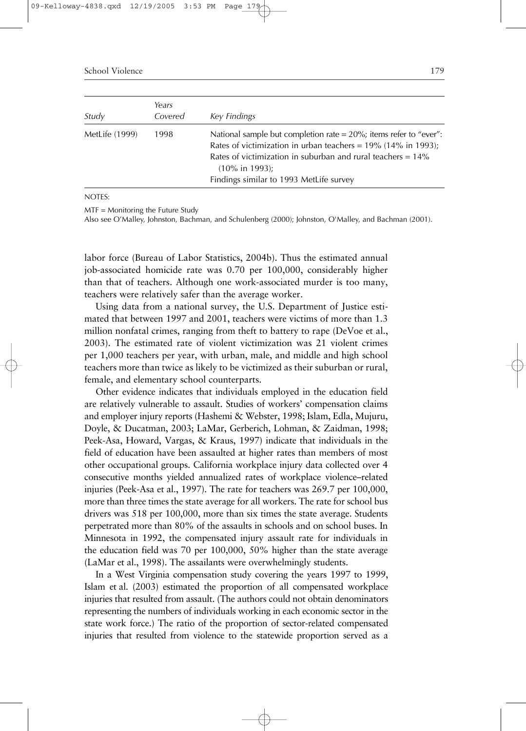School Violence 2008 179

| Study          | Years<br>Covered | Key Findings                                                                                                                                                                                                                                                                          |
|----------------|------------------|---------------------------------------------------------------------------------------------------------------------------------------------------------------------------------------------------------------------------------------------------------------------------------------|
| MetLife (1999) | 1998             | National sample but completion rate = $20\%$ ; items refer to "ever":<br>Rates of victimization in urban teachers = $19\%$ (14% in 1993);<br>Rates of victimization in suburban and rural teachers = $14\%$<br>$(10\% \text{ in } 1993)$ ;<br>Findings similar to 1993 MetLife survey |

NOTES:

MTF = Monitoring the Future Study

Also see O'Malley, Johnston, Bachman, and Schulenberg (2000); Johnston, O'Malley, and Bachman (2001).

labor force (Bureau of Labor Statistics, 2004b). Thus the estimated annual job-associated homicide rate was 0.70 per 100,000, considerably higher than that of teachers. Although one work-associated murder is too many, teachers were relatively safer than the average worker.

Using data from a national survey, the U.S. Department of Justice estimated that between 1997 and 2001, teachers were victims of more than 1.3 million nonfatal crimes, ranging from theft to battery to rape (DeVoe et al., 2003). The estimated rate of violent victimization was 21 violent crimes per 1,000 teachers per year, with urban, male, and middle and high school teachers more than twice as likely to be victimized as their suburban or rural, female, and elementary school counterparts.

Other evidence indicates that individuals employed in the education field are relatively vulnerable to assault. Studies of workers' compensation claims and employer injury reports (Hashemi & Webster, 1998; Islam, Edla, Mujuru, Doyle, & Ducatman, 2003; LaMar, Gerberich, Lohman, & Zaidman, 1998; Peek-Asa, Howard, Vargas, & Kraus, 1997) indicate that individuals in the field of education have been assaulted at higher rates than members of most other occupational groups. California workplace injury data collected over 4 consecutive months yielded annualized rates of workplace violence–related injuries (Peek-Asa et al., 1997). The rate for teachers was 269.7 per 100,000, more than three times the state average for all workers. The rate for school bus drivers was 518 per 100,000, more than six times the state average. Students perpetrated more than 80% of the assaults in schools and on school buses. In Minnesota in 1992, the compensated injury assault rate for individuals in the education field was 70 per 100,000, 50% higher than the state average (LaMar et al., 1998). The assailants were overwhelmingly students.

In a West Virginia compensation study covering the years 1997 to 1999, Islam et al. (2003) estimated the proportion of all compensated workplace injuries that resulted from assault. (The authors could not obtain denominators representing the numbers of individuals working in each economic sector in the state work force.) The ratio of the proportion of sector-related compensated injuries that resulted from violence to the statewide proportion served as a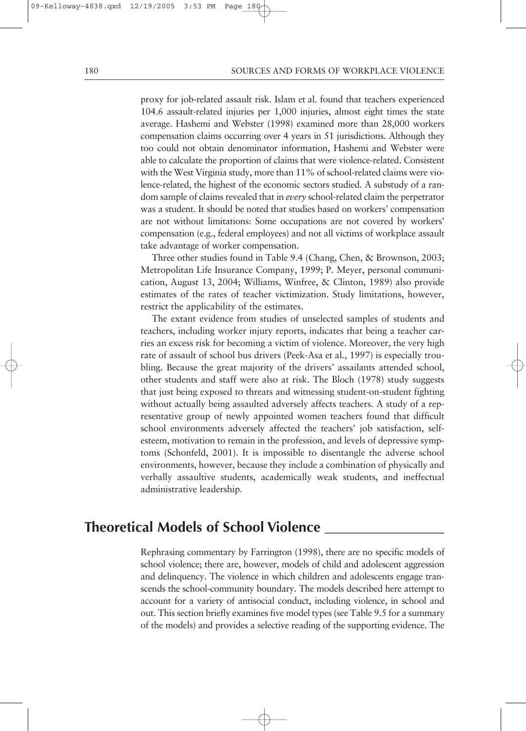proxy for job-related assault risk. Islam et al. found that teachers experienced 104.6 assault-related injuries per 1,000 injuries, almost eight times the state average. Hashemi and Webster (1998) examined more than 28,000 workers compensation claims occurring over 4 years in 51 jurisdictions. Although they too could not obtain denominator information, Hashemi and Webster were able to calculate the proportion of claims that were violence-related. Consistent with the West Virginia study, more than 11% of school-related claims were violence-related, the highest of the economic sectors studied. A substudy of a random sample of claims revealed that in *every* school-related claim the perpetrator was a student. It should be noted that studies based on workers' compensation are not without limitations: Some occupations are not covered by workers' compensation (e.g., federal employees) and not all victims of workplace assault take advantage of worker compensation.

Three other studies found in Table 9.4 (Chang, Chen, & Brownson, 2003; Metropolitan Life Insurance Company, 1999; P. Meyer, personal communication, August 13, 2004; Williams, Winfree, & Clinton, 1989) also provide estimates of the rates of teacher victimization. Study limitations, however, restrict the applicability of the estimates.

The extant evidence from studies of unselected samples of students and teachers, including worker injury reports, indicates that being a teacher carries an excess risk for becoming a victim of violence. Moreover, the very high rate of assault of school bus drivers (Peek-Asa et al., 1997) is especially troubling. Because the great majority of the drivers' assailants attended school, other students and staff were also at risk. The Bloch (1978) study suggests that just being exposed to threats and witnessing student-on-student fighting without actually being assaulted adversely affects teachers. A study of a representative group of newly appointed women teachers found that difficult school environments adversely affected the teachers' job satisfaction, selfesteem, motivation to remain in the profession, and levels of depressive symptoms (Schonfeld, 2001). It is impossible to disentangle the adverse school environments, however, because they include a combination of physically and verbally assaultive students, academically weak students, and ineffectual administrative leadership.

# **Theoretical Models of School Violence \_\_\_\_\_\_\_\_\_\_\_\_\_\_\_\_\_**

Rephrasing commentary by Farrington (1998), there are no specific models of school violence; there are, however, models of child and adolescent aggression and delinquency. The violence in which children and adolescents engage transcends the school-community boundary. The models described here attempt to account for a variety of antisocial conduct, including violence, in school and out. This section briefly examines five model types (see Table 9.5 for a summary of the models) and provides a selective reading of the supporting evidence. The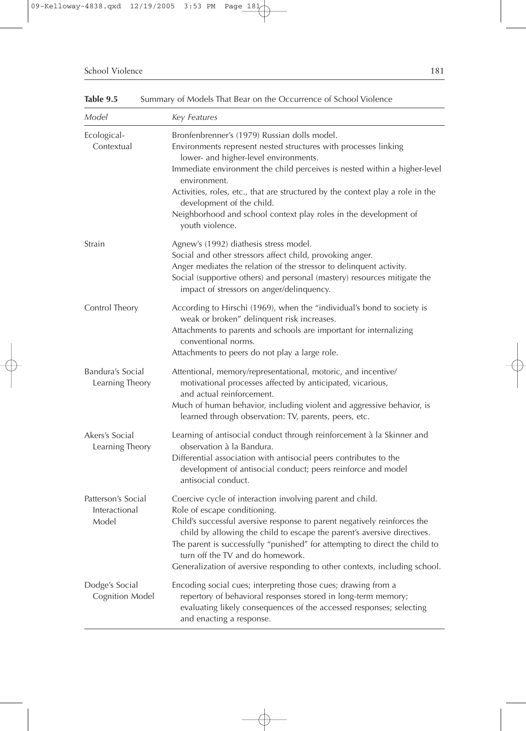Table 9.5 Summary of Models That Bear on the Occurrence of School Violence

| Model                                        | Key Features                                                                                                                                                                                                                                                                                                                                                                                                                                                |
|----------------------------------------------|-------------------------------------------------------------------------------------------------------------------------------------------------------------------------------------------------------------------------------------------------------------------------------------------------------------------------------------------------------------------------------------------------------------------------------------------------------------|
| Ecological-<br>Contextual                    | Bronfenbrenner's (1979) Russian dolls model.<br>Environments represent nested structures with processes linking<br>lower- and higher-level environments.<br>Immediate environment the child perceives is nested within a higher-level<br>environment.<br>Activities, roles, etc., that are structured by the context play a role in the<br>development of the child.<br>Neighborhood and school context play roles in the development of<br>youth violence. |
| Strain                                       | Agnew's (1992) diathesis stress model.<br>Social and other stressors affect child, provoking anger.<br>Anger mediates the relation of the stressor to delinquent activity.<br>Social (supportive others) and personal (mastery) resources mitigate the<br>impact of stressors on anger/delinquency.                                                                                                                                                         |
| Control Theory                               | According to Hirschi (1969), when the "individual's bond to society is<br>weak or broken" delinquent risk increases.<br>Attachments to parents and schools are important for internalizing<br>conventional norms.<br>Attachments to peers do not play a large role.                                                                                                                                                                                         |
| Bandura's Social<br>Learning Theory          | Attentional, memory/representational, motoric, and incentive/<br>motivational processes affected by anticipated, vicarious,<br>and actual reinforcement.<br>Much of human behavior, including violent and aggressive behavior, is<br>learned through observation: TV, parents, peers, etc.                                                                                                                                                                  |
| Akers's Social<br>Learning Theory            | Learning of antisocial conduct through reinforcement à la Skinner and<br>observation à la Bandura.<br>Differential association with antisocial peers contributes to the<br>development of antisocial conduct; peers reinforce and model<br>antisocial conduct.                                                                                                                                                                                              |
| Patterson's Social<br>Interactional<br>Model | Coercive cycle of interaction involving parent and child.<br>Role of escape conditioning.<br>Child's successful aversive response to parent negatively reinforces the<br>child by allowing the child to escape the parent's aversive directives.<br>The parent is successfully "punished" for attempting to direct the child to<br>turn off the TV and do homework.<br>Generalization of aversive responding to other contexts, including school.           |
| Dodge's Social<br><b>Cognition Model</b>     | Encoding social cues; interpreting those cues; drawing from a<br>repertory of behavioral responses stored in long-term memory;<br>evaluating likely consequences of the accessed responses; selecting<br>and enacting a response.                                                                                                                                                                                                                           |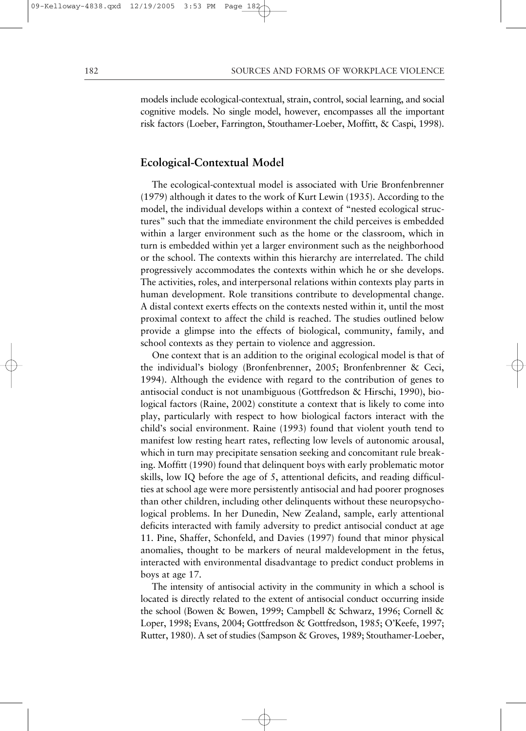models include ecological-contextual, strain, control, social learning, and social cognitive models. No single model, however, encompasses all the important risk factors (Loeber, Farrington, Stouthamer-Loeber, Moffitt, & Caspi, 1998).

# **Ecological-Contextual Model**

The ecological-contextual model is associated with Urie Bronfenbrenner (1979) although it dates to the work of Kurt Lewin (1935). According to the model, the individual develops within a context of "nested ecological structures" such that the immediate environment the child perceives is embedded within a larger environment such as the home or the classroom, which in turn is embedded within yet a larger environment such as the neighborhood or the school. The contexts within this hierarchy are interrelated. The child progressively accommodates the contexts within which he or she develops. The activities, roles, and interpersonal relations within contexts play parts in human development. Role transitions contribute to developmental change. A distal context exerts effects on the contexts nested within it, until the most proximal context to affect the child is reached. The studies outlined below provide a glimpse into the effects of biological, community, family, and school contexts as they pertain to violence and aggression.

One context that is an addition to the original ecological model is that of the individual's biology (Bronfenbrenner, 2005; Bronfenbrenner & Ceci, 1994). Although the evidence with regard to the contribution of genes to antisocial conduct is not unambiguous (Gottfredson & Hirschi, 1990), biological factors (Raine, 2002) constitute a context that is likely to come into play, particularly with respect to how biological factors interact with the child's social environment. Raine (1993) found that violent youth tend to manifest low resting heart rates, reflecting low levels of autonomic arousal, which in turn may precipitate sensation seeking and concomitant rule breaking. Moffitt (1990) found that delinquent boys with early problematic motor skills, low IQ before the age of 5, attentional deficits, and reading difficulties at school age were more persistently antisocial and had poorer prognoses than other children, including other delinquents without these neuropsychological problems. In her Dunedin, New Zealand, sample, early attentional deficits interacted with family adversity to predict antisocial conduct at age 11. Pine, Shaffer, Schonfeld, and Davies (1997) found that minor physical anomalies, thought to be markers of neural maldevelopment in the fetus, interacted with environmental disadvantage to predict conduct problems in boys at age 17.

The intensity of antisocial activity in the community in which a school is located is directly related to the extent of antisocial conduct occurring inside the school (Bowen & Bowen, 1999; Campbell & Schwarz, 1996; Cornell & Loper, 1998; Evans, 2004; Gottfredson & Gottfredson, 1985; O'Keefe, 1997; Rutter, 1980). A set of studies (Sampson & Groves, 1989; Stouthamer-Loeber,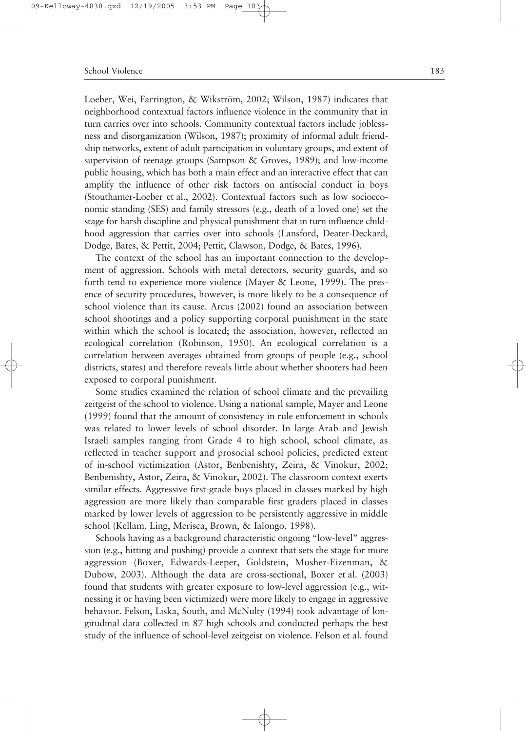Loeber, Wei, Farrington, & Wikström, 2002; Wilson, 1987) indicates that neighborhood contextual factors influence violence in the community that in turn carries over into schools. Community contextual factors include joblessness and disorganization (Wilson, 1987); proximity of informal adult friendship networks, extent of adult participation in voluntary groups, and extent of supervision of teenage groups (Sampson & Groves, 1989); and low-income public housing, which has both a main effect and an interactive effect that can amplify the influence of other risk factors on antisocial conduct in boys (Stouthamer-Loeber et al., 2002). Contextual factors such as low socioeconomic standing (SES) and family stressors (e.g., death of a loved one) set the stage for harsh discipline and physical punishment that in turn influence childhood aggression that carries over into schools (Lansford, Deater-Deckard, Dodge, Bates, & Pettit, 2004; Pettit, Clawson, Dodge, & Bates, 1996).

The context of the school has an important connection to the development of aggression. Schools with metal detectors, security guards, and so forth tend to experience more violence (Mayer & Leone, 1999). The presence of security procedures, however, is more likely to be a consequence of school violence than its cause. Arcus (2002) found an association between school shootings and a policy supporting corporal punishment in the state within which the school is located; the association, however, reflected an ecological correlation (Robinson, 1950). An ecological correlation is a correlation between averages obtained from groups of people (e.g., school districts, states) and therefore reveals little about whether shooters had been exposed to corporal punishment.

Some studies examined the relation of school climate and the prevailing zeitgeist of the school to violence. Using a national sample, Mayer and Leone (1999) found that the amount of consistency in rule enforcement in schools was related to lower levels of school disorder. In large Arab and Jewish Israeli samples ranging from Grade 4 to high school, school climate, as reflected in teacher support and prosocial school policies, predicted extent of in-school victimization (Astor, Benbenishty, Zeira, & Vinokur, 2002; Benbenishty, Astor, Zeira, & Vinokur, 2002). The classroom context exerts similar effects. Aggressive first-grade boys placed in classes marked by high aggression are more likely than comparable first graders placed in classes marked by lower levels of aggression to be persistently aggressive in middle school (Kellam, Ling, Merisca, Brown, & Ialongo, 1998).

Schools having as a background characteristic ongoing "low-level" aggression (e.g., hitting and pushing) provide a context that sets the stage for more aggression (Boxer, Edwards-Leeper, Goldstein, Musher-Eizenman, & Dubow, 2003). Although the data are cross-sectional, Boxer et al. (2003) found that students with greater exposure to low-level aggression (e.g., witnessing it or having been victimized) were more likely to engage in aggressive behavior. Felson, Liska, South, and McNulty (1994) took advantage of longitudinal data collected in 87 high schools and conducted perhaps the best study of the influence of school-level zeitgeist on violence. Felson et al. found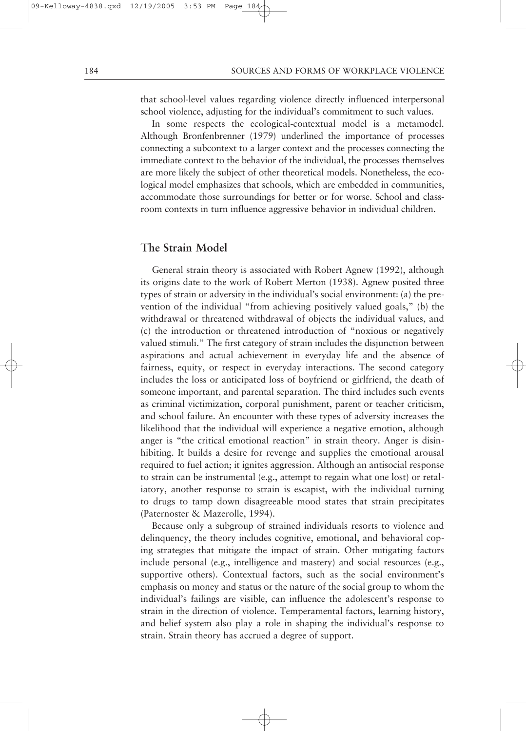that school-level values regarding violence directly influenced interpersonal school violence, adjusting for the individual's commitment to such values.

In some respects the ecological-contextual model is a metamodel. Although Bronfenbrenner (1979) underlined the importance of processes connecting a subcontext to a larger context and the processes connecting the immediate context to the behavior of the individual, the processes themselves are more likely the subject of other theoretical models. Nonetheless, the ecological model emphasizes that schools, which are embedded in communities, accommodate those surroundings for better or for worse. School and classroom contexts in turn influence aggressive behavior in individual children.

# **The Strain Model**

General strain theory is associated with Robert Agnew (1992), although its origins date to the work of Robert Merton (1938). Agnew posited three types of strain or adversity in the individual's social environment: (a) the prevention of the individual "from achieving positively valued goals," (b) the withdrawal or threatened withdrawal of objects the individual values, and (c) the introduction or threatened introduction of "noxious or negatively valued stimuli." The first category of strain includes the disjunction between aspirations and actual achievement in everyday life and the absence of fairness, equity, or respect in everyday interactions. The second category includes the loss or anticipated loss of boyfriend or girlfriend, the death of someone important, and parental separation. The third includes such events as criminal victimization, corporal punishment, parent or teacher criticism, and school failure. An encounter with these types of adversity increases the likelihood that the individual will experience a negative emotion, although anger is "the critical emotional reaction" in strain theory. Anger is disinhibiting. It builds a desire for revenge and supplies the emotional arousal required to fuel action; it ignites aggression. Although an antisocial response to strain can be instrumental (e.g., attempt to regain what one lost) or retaliatory, another response to strain is escapist, with the individual turning to drugs to tamp down disagreeable mood states that strain precipitates (Paternoster & Mazerolle, 1994).

Because only a subgroup of strained individuals resorts to violence and delinquency, the theory includes cognitive, emotional, and behavioral coping strategies that mitigate the impact of strain. Other mitigating factors include personal (e.g., intelligence and mastery) and social resources (e.g., supportive others). Contextual factors, such as the social environment's emphasis on money and status or the nature of the social group to whom the individual's failings are visible, can influence the adolescent's response to strain in the direction of violence. Temperamental factors, learning history, and belief system also play a role in shaping the individual's response to strain. Strain theory has accrued a degree of support.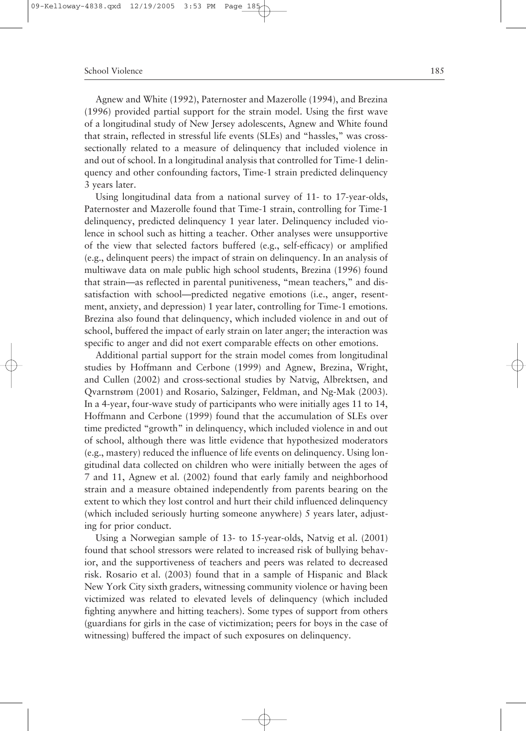Agnew and White (1992), Paternoster and Mazerolle (1994), and Brezina (1996) provided partial support for the strain model. Using the first wave of a longitudinal study of New Jersey adolescents, Agnew and White found that strain, reflected in stressful life events (SLEs) and "hassles," was crosssectionally related to a measure of delinquency that included violence in and out of school. In a longitudinal analysis that controlled for Time-1 delinquency and other confounding factors, Time-1 strain predicted delinquency 3 years later.

Using longitudinal data from a national survey of 11- to 17-year-olds, Paternoster and Mazerolle found that Time-1 strain, controlling for Time-1 delinquency, predicted delinquency 1 year later. Delinquency included violence in school such as hitting a teacher. Other analyses were unsupportive of the view that selected factors buffered (e.g., self-efficacy) or amplified (e.g., delinquent peers) the impact of strain on delinquency. In an analysis of multiwave data on male public high school students, Brezina (1996) found that strain—as reflected in parental punitiveness, "mean teachers," and dissatisfaction with school—predicted negative emotions (i.e., anger, resentment, anxiety, and depression) 1 year later, controlling for Time-1 emotions. Brezina also found that delinquency, which included violence in and out of school, buffered the impact of early strain on later anger; the interaction was specific to anger and did not exert comparable effects on other emotions.

Additional partial support for the strain model comes from longitudinal studies by Hoffmann and Cerbone (1999) and Agnew, Brezina, Wright, and Cullen (2002) and cross-sectional studies by Natvig, Albrektsen, and Qvarnstrøm (2001) and Rosario, Salzinger, Feldman, and Ng-Mak (2003). In a 4-year, four-wave study of participants who were initially ages 11 to 14, Hoffmann and Cerbone (1999) found that the accumulation of SLEs over time predicted "growth" in delinquency, which included violence in and out of school, although there was little evidence that hypothesized moderators (e.g., mastery) reduced the influence of life events on delinquency. Using longitudinal data collected on children who were initially between the ages of 7 and 11, Agnew et al. (2002) found that early family and neighborhood strain and a measure obtained independently from parents bearing on the extent to which they lost control and hurt their child influenced delinquency (which included seriously hurting someone anywhere) 5 years later, adjusting for prior conduct.

Using a Norwegian sample of 13- to 15-year-olds, Natvig et al. (2001) found that school stressors were related to increased risk of bullying behavior, and the supportiveness of teachers and peers was related to decreased risk. Rosario et al. (2003) found that in a sample of Hispanic and Black New York City sixth graders, witnessing community violence or having been victimized was related to elevated levels of delinquency (which included fighting anywhere and hitting teachers). Some types of support from others (guardians for girls in the case of victimization; peers for boys in the case of witnessing) buffered the impact of such exposures on delinquency.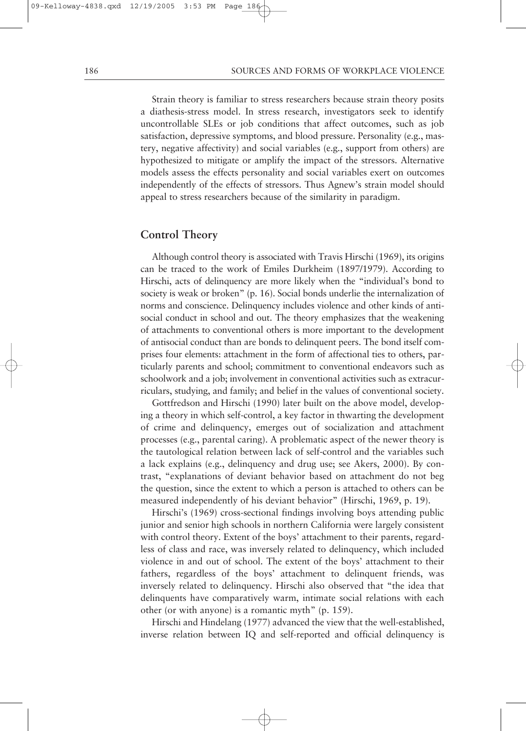Strain theory is familiar to stress researchers because strain theory posits a diathesis-stress model. In stress research, investigators seek to identify uncontrollable SLEs or job conditions that affect outcomes, such as job satisfaction, depressive symptoms, and blood pressure. Personality (e.g., mastery, negative affectivity) and social variables (e.g., support from others) are hypothesized to mitigate or amplify the impact of the stressors. Alternative models assess the effects personality and social variables exert on outcomes independently of the effects of stressors. Thus Agnew's strain model should appeal to stress researchers because of the similarity in paradigm.

## **Control Theory**

Although control theory is associated with Travis Hirschi (1969), its origins can be traced to the work of Emiles Durkheim (1897/1979). According to Hirschi, acts of delinquency are more likely when the "individual's bond to society is weak or broken" (p. 16). Social bonds underlie the internalization of norms and conscience. Delinquency includes violence and other kinds of antisocial conduct in school and out. The theory emphasizes that the weakening of attachments to conventional others is more important to the development of antisocial conduct than are bonds to delinquent peers. The bond itself comprises four elements: attachment in the form of affectional ties to others, particularly parents and school; commitment to conventional endeavors such as schoolwork and a job; involvement in conventional activities such as extracurriculars, studying, and family; and belief in the values of conventional society.

Gottfredson and Hirschi (1990) later built on the above model, developing a theory in which self-control, a key factor in thwarting the development of crime and delinquency, emerges out of socialization and attachment processes (e.g., parental caring). A problematic aspect of the newer theory is the tautological relation between lack of self-control and the variables such a lack explains (e.g., delinquency and drug use; see Akers, 2000). By contrast, "explanations of deviant behavior based on attachment do not beg the question, since the extent to which a person is attached to others can be measured independently of his deviant behavior" (Hirschi, 1969, p. 19).

Hirschi's (1969) cross-sectional findings involving boys attending public junior and senior high schools in northern California were largely consistent with control theory. Extent of the boys' attachment to their parents, regardless of class and race, was inversely related to delinquency, which included violence in and out of school. The extent of the boys' attachment to their fathers, regardless of the boys' attachment to delinquent friends, was inversely related to delinquency. Hirschi also observed that "the idea that delinquents have comparatively warm, intimate social relations with each other (or with anyone) is a romantic myth" (p. 159).

Hirschi and Hindelang (1977) advanced the view that the well-established, inverse relation between IQ and self-reported and official delinquency is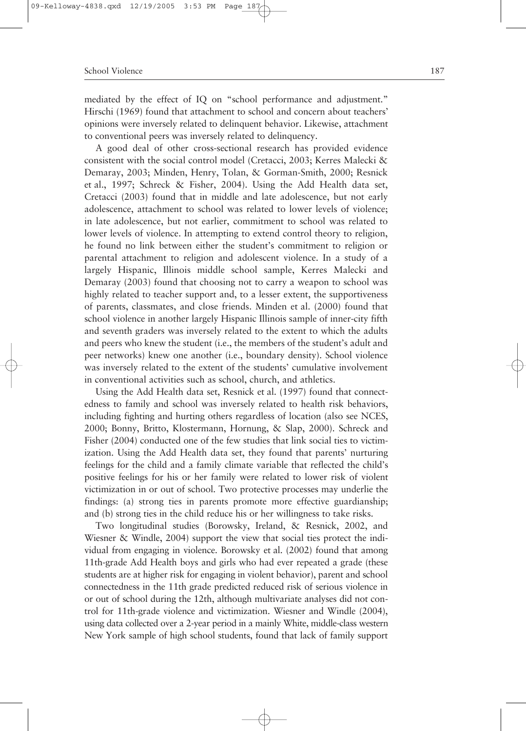mediated by the effect of IQ on "school performance and adjustment." Hirschi (1969) found that attachment to school and concern about teachers' opinions were inversely related to delinquent behavior. Likewise, attachment to conventional peers was inversely related to delinquency.

A good deal of other cross-sectional research has provided evidence consistent with the social control model (Cretacci, 2003; Kerres Malecki & Demaray, 2003; Minden, Henry, Tolan, & Gorman-Smith, 2000; Resnick et al., 1997; Schreck & Fisher, 2004). Using the Add Health data set, Cretacci (2003) found that in middle and late adolescence, but not early adolescence, attachment to school was related to lower levels of violence; in late adolescence, but not earlier, commitment to school was related to lower levels of violence. In attempting to extend control theory to religion, he found no link between either the student's commitment to religion or parental attachment to religion and adolescent violence. In a study of a largely Hispanic, Illinois middle school sample, Kerres Malecki and Demaray (2003) found that choosing not to carry a weapon to school was highly related to teacher support and, to a lesser extent, the supportiveness of parents, classmates, and close friends. Minden et al. (2000) found that school violence in another largely Hispanic Illinois sample of inner-city fifth and seventh graders was inversely related to the extent to which the adults and peers who knew the student (i.e., the members of the student's adult and peer networks) knew one another (i.e., boundary density). School violence was inversely related to the extent of the students' cumulative involvement in conventional activities such as school, church, and athletics.

Using the Add Health data set, Resnick et al. (1997) found that connectedness to family and school was inversely related to health risk behaviors, including fighting and hurting others regardless of location (also see NCES, 2000; Bonny, Britto, Klostermann, Hornung, & Slap, 2000). Schreck and Fisher (2004) conducted one of the few studies that link social ties to victimization. Using the Add Health data set, they found that parents' nurturing feelings for the child and a family climate variable that reflected the child's positive feelings for his or her family were related to lower risk of violent victimization in or out of school. Two protective processes may underlie the findings: (a) strong ties in parents promote more effective guardianship; and (b) strong ties in the child reduce his or her willingness to take risks.

Two longitudinal studies (Borowsky, Ireland, & Resnick, 2002, and Wiesner & Windle, 2004) support the view that social ties protect the individual from engaging in violence. Borowsky et al. (2002) found that among 11th-grade Add Health boys and girls who had ever repeated a grade (these students are at higher risk for engaging in violent behavior), parent and school connectedness in the 11th grade predicted reduced risk of serious violence in or out of school during the 12th, although multivariate analyses did not control for 11th-grade violence and victimization. Wiesner and Windle (2004), using data collected over a 2-year period in a mainly White, middle-class western New York sample of high school students, found that lack of family support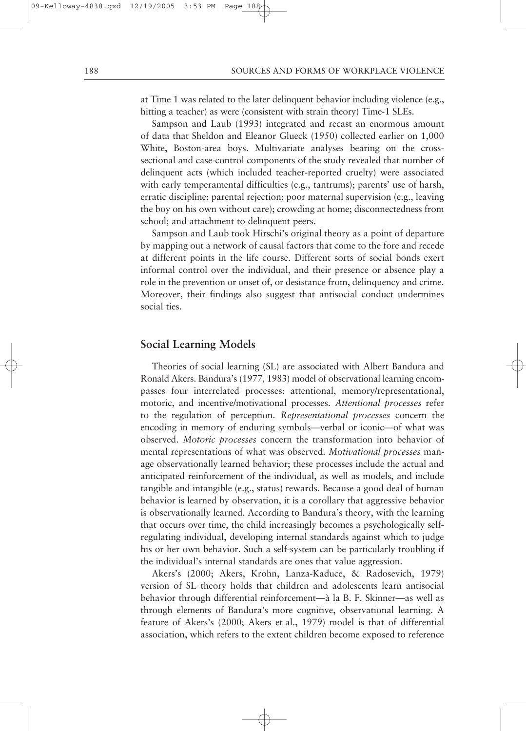at Time 1 was related to the later delinquent behavior including violence (e.g., hitting a teacher) as were (consistent with strain theory) Time-1 SLEs.

Sampson and Laub (1993) integrated and recast an enormous amount of data that Sheldon and Eleanor Glueck (1950) collected earlier on 1,000 White, Boston-area boys. Multivariate analyses bearing on the crosssectional and case-control components of the study revealed that number of delinquent acts (which included teacher-reported cruelty) were associated with early temperamental difficulties (e.g., tantrums); parents' use of harsh, erratic discipline; parental rejection; poor maternal supervision (e.g., leaving the boy on his own without care); crowding at home; disconnectedness from school; and attachment to delinquent peers.

Sampson and Laub took Hirschi's original theory as a point of departure by mapping out a network of causal factors that come to the fore and recede at different points in the life course. Different sorts of social bonds exert informal control over the individual, and their presence or absence play a role in the prevention or onset of, or desistance from, delinquency and crime. Moreover, their findings also suggest that antisocial conduct undermines social ties.

## **Social Learning Models**

Theories of social learning (SL) are associated with Albert Bandura and Ronald Akers. Bandura's (1977, 1983) model of observational learning encompasses four interrelated processes: attentional, memory/representational, motoric, and incentive/motivational processes. *Attentional processes* refer to the regulation of perception. *Representational processes* concern the encoding in memory of enduring symbols—verbal or iconic—of what was observed. *Motoric processes* concern the transformation into behavior of mental representations of what was observed. *Motivational processes* manage observationally learned behavior; these processes include the actual and anticipated reinforcement of the individual, as well as models, and include tangible and intangible (e.g., status) rewards. Because a good deal of human behavior is learned by observation, it is a corollary that aggressive behavior is observationally learned. According to Bandura's theory, with the learning that occurs over time, the child increasingly becomes a psychologically selfregulating individual, developing internal standards against which to judge his or her own behavior. Such a self-system can be particularly troubling if the individual's internal standards are ones that value aggression.

Akers's (2000; Akers, Krohn, Lanza-Kaduce, & Radosevich, 1979) version of SL theory holds that children and adolescents learn antisocial behavior through differential reinforcement—à la B. F. Skinner—as well as through elements of Bandura's more cognitive, observational learning. A feature of Akers's (2000; Akers et al., 1979) model is that of differential association, which refers to the extent children become exposed to reference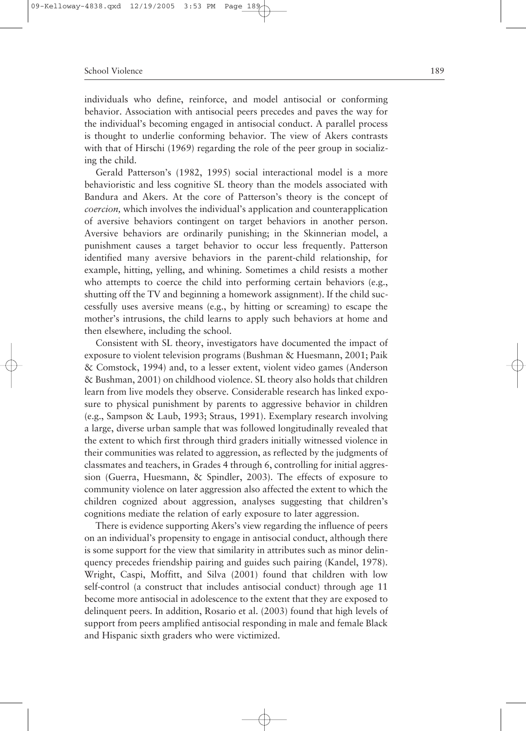individuals who define, reinforce, and model antisocial or conforming behavior. Association with antisocial peers precedes and paves the way for the individual's becoming engaged in antisocial conduct. A parallel process is thought to underlie conforming behavior. The view of Akers contrasts with that of Hirschi (1969) regarding the role of the peer group in socializing the child.

Gerald Patterson's (1982, 1995) social interactional model is a more behavioristic and less cognitive SL theory than the models associated with Bandura and Akers. At the core of Patterson's theory is the concept of *coercion,* which involves the individual's application and counterapplication of aversive behaviors contingent on target behaviors in another person. Aversive behaviors are ordinarily punishing; in the Skinnerian model, a punishment causes a target behavior to occur less frequently. Patterson identified many aversive behaviors in the parent-child relationship, for example, hitting, yelling, and whining. Sometimes a child resists a mother who attempts to coerce the child into performing certain behaviors (e.g., shutting off the TV and beginning a homework assignment). If the child successfully uses aversive means (e.g., by hitting or screaming) to escape the mother's intrusions, the child learns to apply such behaviors at home and then elsewhere, including the school.

Consistent with SL theory, investigators have documented the impact of exposure to violent television programs (Bushman & Huesmann, 2001; Paik & Comstock, 1994) and, to a lesser extent, violent video games (Anderson & Bushman, 2001) on childhood violence. SL theory also holds that children learn from live models they observe. Considerable research has linked exposure to physical punishment by parents to aggressive behavior in children (e.g., Sampson & Laub, 1993; Straus, 1991). Exemplary research involving a large, diverse urban sample that was followed longitudinally revealed that the extent to which first through third graders initially witnessed violence in their communities was related to aggression, as reflected by the judgments of classmates and teachers, in Grades 4 through 6, controlling for initial aggression (Guerra, Huesmann, & Spindler, 2003). The effects of exposure to community violence on later aggression also affected the extent to which the children cognized about aggression, analyses suggesting that children's cognitions mediate the relation of early exposure to later aggression.

There is evidence supporting Akers's view regarding the influence of peers on an individual's propensity to engage in antisocial conduct, although there is some support for the view that similarity in attributes such as minor delinquency precedes friendship pairing and guides such pairing (Kandel, 1978). Wright, Caspi, Moffitt, and Silva (2001) found that children with low self-control (a construct that includes antisocial conduct) through age 11 become more antisocial in adolescence to the extent that they are exposed to delinquent peers. In addition, Rosario et al. (2003) found that high levels of support from peers amplified antisocial responding in male and female Black and Hispanic sixth graders who were victimized.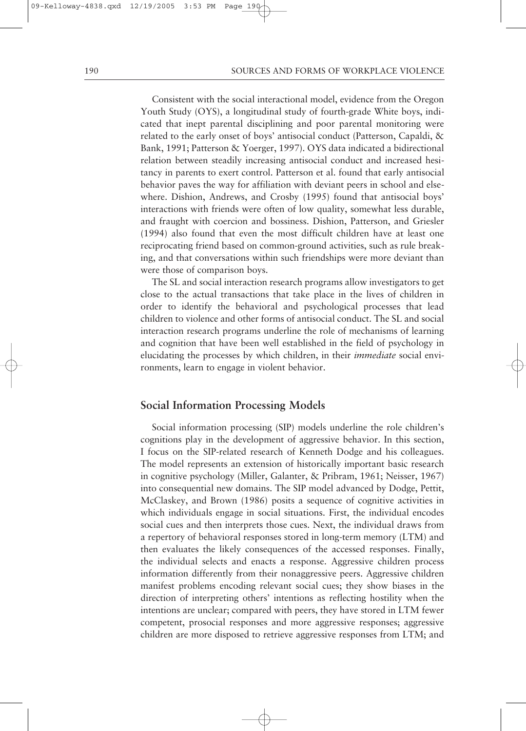Consistent with the social interactional model, evidence from the Oregon Youth Study (OYS), a longitudinal study of fourth-grade White boys, indicated that inept parental disciplining and poor parental monitoring were related to the early onset of boys' antisocial conduct (Patterson, Capaldi, & Bank, 1991; Patterson & Yoerger, 1997). OYS data indicated a bidirectional relation between steadily increasing antisocial conduct and increased hesitancy in parents to exert control. Patterson et al. found that early antisocial behavior paves the way for affiliation with deviant peers in school and elsewhere. Dishion, Andrews, and Crosby (1995) found that antisocial boys' interactions with friends were often of low quality, somewhat less durable, and fraught with coercion and bossiness. Dishion, Patterson, and Griesler (1994) also found that even the most difficult children have at least one reciprocating friend based on common-ground activities, such as rule breaking, and that conversations within such friendships were more deviant than were those of comparison boys.

The SL and social interaction research programs allow investigators to get close to the actual transactions that take place in the lives of children in order to identify the behavioral and psychological processes that lead children to violence and other forms of antisocial conduct. The SL and social interaction research programs underline the role of mechanisms of learning and cognition that have been well established in the field of psychology in elucidating the processes by which children, in their *immediate* social environments, learn to engage in violent behavior.

# **Social Information Processing Models**

Social information processing (SIP) models underline the role children's cognitions play in the development of aggressive behavior. In this section, I focus on the SIP-related research of Kenneth Dodge and his colleagues. The model represents an extension of historically important basic research in cognitive psychology (Miller, Galanter, & Pribram, 1961; Neisser, 1967) into consequential new domains. The SIP model advanced by Dodge, Pettit, McClaskey, and Brown (1986) posits a sequence of cognitive activities in which individuals engage in social situations. First, the individual encodes social cues and then interprets those cues. Next, the individual draws from a repertory of behavioral responses stored in long-term memory (LTM) and then evaluates the likely consequences of the accessed responses. Finally, the individual selects and enacts a response. Aggressive children process information differently from their nonaggressive peers. Aggressive children manifest problems encoding relevant social cues; they show biases in the direction of interpreting others' intentions as reflecting hostility when the intentions are unclear; compared with peers, they have stored in LTM fewer competent, prosocial responses and more aggressive responses; aggressive children are more disposed to retrieve aggressive responses from LTM; and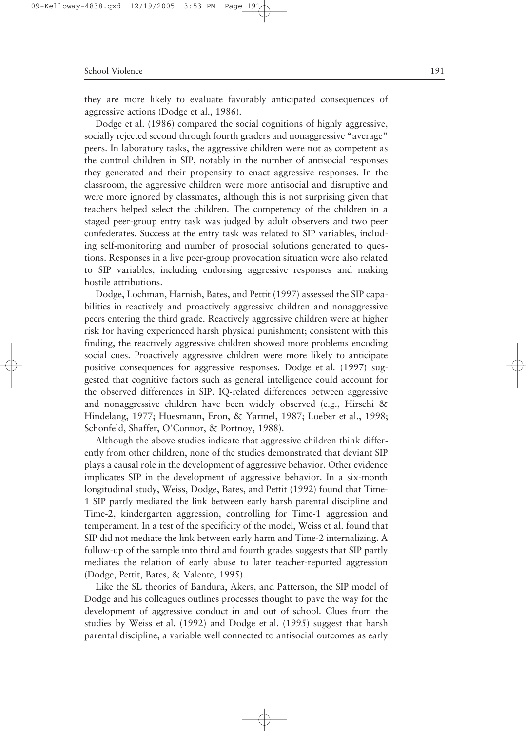they are more likely to evaluate favorably anticipated consequences of aggressive actions (Dodge et al., 1986).

Dodge et al. (1986) compared the social cognitions of highly aggressive, socially rejected second through fourth graders and nonaggressive "average" peers. In laboratory tasks, the aggressive children were not as competent as the control children in SIP, notably in the number of antisocial responses they generated and their propensity to enact aggressive responses. In the classroom, the aggressive children were more antisocial and disruptive and were more ignored by classmates, although this is not surprising given that teachers helped select the children. The competency of the children in a staged peer-group entry task was judged by adult observers and two peer confederates. Success at the entry task was related to SIP variables, including self-monitoring and number of prosocial solutions generated to questions. Responses in a live peer-group provocation situation were also related to SIP variables, including endorsing aggressive responses and making hostile attributions.

Dodge, Lochman, Harnish, Bates, and Pettit (1997) assessed the SIP capabilities in reactively and proactively aggressive children and nonaggressive peers entering the third grade. Reactively aggressive children were at higher risk for having experienced harsh physical punishment; consistent with this finding, the reactively aggressive children showed more problems encoding social cues. Proactively aggressive children were more likely to anticipate positive consequences for aggressive responses. Dodge et al. (1997) suggested that cognitive factors such as general intelligence could account for the observed differences in SIP. IQ-related differences between aggressive and nonaggressive children have been widely observed (e.g., Hirschi & Hindelang, 1977; Huesmann, Eron, & Yarmel, 1987; Loeber et al., 1998; Schonfeld, Shaffer, O'Connor, & Portnoy, 1988).

Although the above studies indicate that aggressive children think differently from other children, none of the studies demonstrated that deviant SIP plays a causal role in the development of aggressive behavior. Other evidence implicates SIP in the development of aggressive behavior. In a six-month longitudinal study, Weiss, Dodge, Bates, and Pettit (1992) found that Time-1 SIP partly mediated the link between early harsh parental discipline and Time-2, kindergarten aggression, controlling for Time-1 aggression and temperament. In a test of the specificity of the model, Weiss et al. found that SIP did not mediate the link between early harm and Time-2 internalizing. A follow-up of the sample into third and fourth grades suggests that SIP partly mediates the relation of early abuse to later teacher-reported aggression (Dodge, Pettit, Bates, & Valente, 1995).

Like the SL theories of Bandura, Akers, and Patterson, the SIP model of Dodge and his colleagues outlines processes thought to pave the way for the development of aggressive conduct in and out of school. Clues from the studies by Weiss et al. (1992) and Dodge et al. (1995) suggest that harsh parental discipline, a variable well connected to antisocial outcomes as early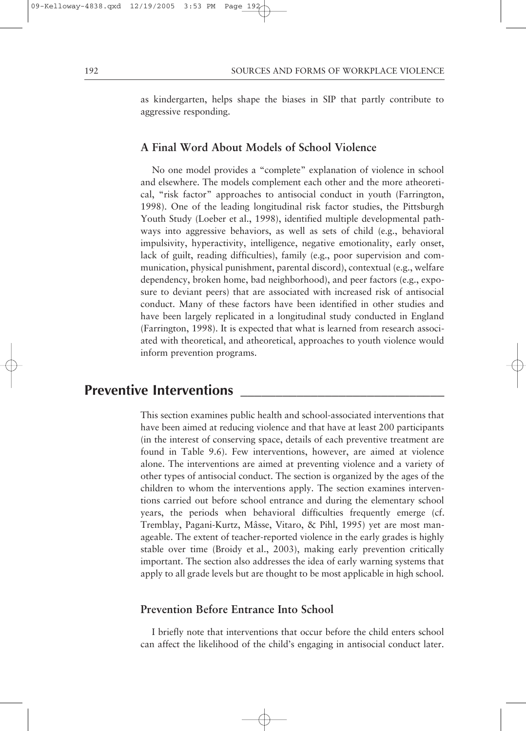as kindergarten, helps shape the biases in SIP that partly contribute to aggressive responding.

# **A Final Word About Models of School Violence**

No one model provides a "complete" explanation of violence in school and elsewhere. The models complement each other and the more atheoretical, "risk factor" approaches to antisocial conduct in youth (Farrington, 1998). One of the leading longitudinal risk factor studies, the Pittsburgh Youth Study (Loeber et al., 1998), identified multiple developmental pathways into aggressive behaviors, as well as sets of child (e.g., behavioral impulsivity, hyperactivity, intelligence, negative emotionality, early onset, lack of guilt, reading difficulties), family (e.g., poor supervision and communication, physical punishment, parental discord), contextual (e.g., welfare dependency, broken home, bad neighborhood), and peer factors (e.g., exposure to deviant peers) that are associated with increased risk of antisocial conduct. Many of these factors have been identified in other studies and have been largely replicated in a longitudinal study conducted in England (Farrington, 1998). It is expected that what is learned from research associated with theoretical, and atheoretical, approaches to youth violence would inform prevention programs.

# **Preventive Interventions**

This section examines public health and school-associated interventions that have been aimed at reducing violence and that have at least 200 participants (in the interest of conserving space, details of each preventive treatment are found in Table 9.6). Few interventions, however, are aimed at violence alone. The interventions are aimed at preventing violence and a variety of other types of antisocial conduct. The section is organized by the ages of the children to whom the interventions apply. The section examines interventions carried out before school entrance and during the elementary school years, the periods when behavioral difficulties frequently emerge (cf. Tremblay, Pagani-Kurtz, Mâsse, Vitaro, & Pihl, 1995) yet are most manageable. The extent of teacher-reported violence in the early grades is highly stable over time (Broidy et al., 2003), making early prevention critically important. The section also addresses the idea of early warning systems that apply to all grade levels but are thought to be most applicable in high school.

# **Prevention Before Entrance Into School**

I briefly note that interventions that occur before the child enters school can affect the likelihood of the child's engaging in antisocial conduct later.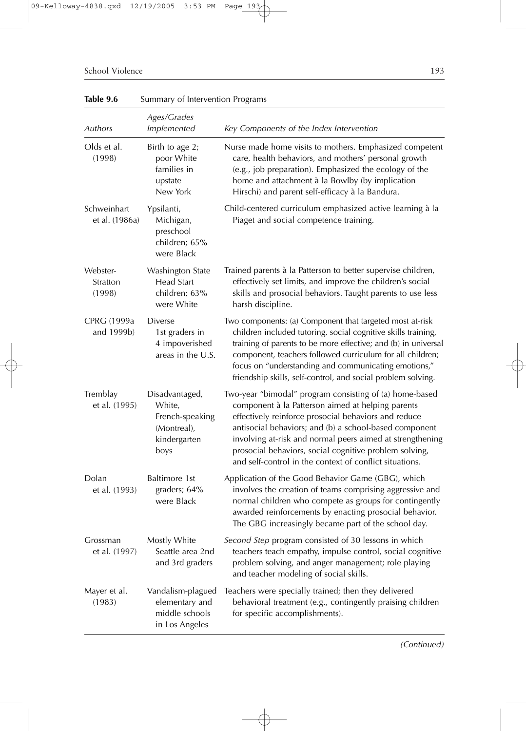| Table 9.6                      | Summary of Intervention Programs                                                   |                                                                                                                                                                                                                                                                                                                                                                                                                  |
|--------------------------------|------------------------------------------------------------------------------------|------------------------------------------------------------------------------------------------------------------------------------------------------------------------------------------------------------------------------------------------------------------------------------------------------------------------------------------------------------------------------------------------------------------|
| Authors                        | Ages/Grades<br><b>Implemented</b>                                                  | Key Components of the Index Intervention                                                                                                                                                                                                                                                                                                                                                                         |
| Olds et al.<br>(1998)          | Birth to age 2;<br>poor White<br>families in<br>upstate<br>New York                | Nurse made home visits to mothers. Emphasized competent<br>care, health behaviors, and mothers' personal growth<br>(e.g., job preparation). Emphasized the ecology of the<br>home and attachment à la Bowlby (by implication<br>Hirschi) and parent self-efficacy à la Bandura.                                                                                                                                  |
| Schweinhart<br>et al. (1986a)  | Ypsilanti,<br>Michigan,<br>preschool<br>children; 65%<br>were Black                | Child-centered curriculum emphasized active learning à la<br>Piaget and social competence training.                                                                                                                                                                                                                                                                                                              |
| Webster-<br>Stratton<br>(1998) | Washington State<br>Head Start<br>children; 63%<br>were White                      | Trained parents à la Patterson to better supervise children,<br>effectively set limits, and improve the children's social<br>skills and prosocial behaviors. Taught parents to use less<br>harsh discipline.                                                                                                                                                                                                     |
| CPRG (1999a<br>and 1999b)      | <b>Diverse</b><br>1st graders in<br>4 impoverished<br>areas in the U.S.            | Two components: (a) Component that targeted most at-risk<br>children included tutoring, social cognitive skills training,<br>training of parents to be more effective; and (b) in universal<br>component, teachers followed curriculum for all children;<br>focus on "understanding and communicating emotions,"<br>friendship skills, self-control, and social problem solving.                                 |
| Tremblay<br>et al. (1995)      | Disadvantaged,<br>White,<br>French-speaking<br>(Montreal),<br>kindergarten<br>boys | Two-year "bimodal" program consisting of (a) home-based<br>component à la Patterson aimed at helping parents<br>effectively reinforce prosocial behaviors and reduce<br>antisocial behaviors; and (b) a school-based component<br>involving at-risk and normal peers aimed at strengthening<br>prosocial behaviors, social cognitive problem solving,<br>and self-control in the context of conflict situations. |
| Dolan<br>et al. (1993)         | Baltimore 1st<br>graders; 64%<br>were Black                                        | Application of the Good Behavior Game (GBG), which<br>involves the creation of teams comprising aggressive and<br>normal children who compete as groups for contingently<br>awarded reinforcements by enacting prosocial behavior.<br>The GBG increasingly became part of the school day.                                                                                                                        |
| Grossman<br>et al. (1997)      | Mostly White<br>Seattle area 2nd<br>and 3rd graders                                | Second Step program consisted of 30 lessons in which<br>teachers teach empathy, impulse control, social cognitive<br>problem solving, and anger management; role playing<br>and teacher modeling of social skills.                                                                                                                                                                                               |
| Mayer et al.<br>(1983)         | Vandalism-plagued<br>elementary and<br>middle schools<br>in Los Angeles            | Teachers were specially trained; then they delivered<br>behavioral treatment (e.g., contingently praising children<br>for specific accomplishments).                                                                                                                                                                                                                                                             |

*(Continued)*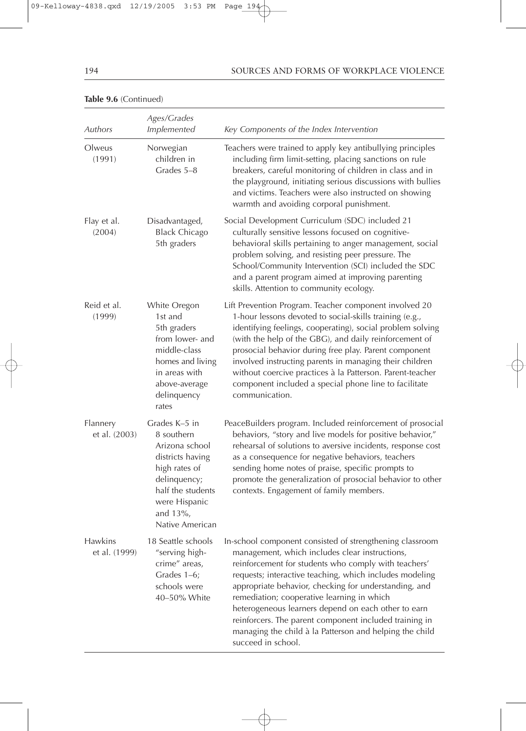#### 194 SOURCES AND FORMS OF WORKPLACE VIOLENCE

|                                 | Ages/Grades                                                                                                                                                                 |                                                                                                                                                                                                                                                                                                                                                                                                                                                                                                                                        |
|---------------------------------|-----------------------------------------------------------------------------------------------------------------------------------------------------------------------------|----------------------------------------------------------------------------------------------------------------------------------------------------------------------------------------------------------------------------------------------------------------------------------------------------------------------------------------------------------------------------------------------------------------------------------------------------------------------------------------------------------------------------------------|
| Authors                         | Implemented                                                                                                                                                                 | Key Components of the Index Intervention                                                                                                                                                                                                                                                                                                                                                                                                                                                                                               |
| Olweus<br>(1991)                | Norwegian<br>children in<br>Grades 5-8                                                                                                                                      | Teachers were trained to apply key antibullying principles<br>including firm limit-setting, placing sanctions on rule<br>breakers, careful monitoring of children in class and in<br>the playground, initiating serious discussions with bullies<br>and victims. Teachers were also instructed on showing<br>warmth and avoiding corporal punishment.                                                                                                                                                                                  |
| Flay et al.<br>(2004)           | Disadvantaged,<br><b>Black Chicago</b><br>5th graders                                                                                                                       | Social Development Curriculum (SDC) included 21<br>culturally sensitive lessons focused on cognitive-<br>behavioral skills pertaining to anger management, social<br>problem solving, and resisting peer pressure. The<br>School/Community Intervention (SCI) included the SDC<br>and a parent program aimed at improving parenting<br>skills. Attention to community ecology.                                                                                                                                                         |
| Reid et al.<br>(1999)           | White Oregon<br>1st and<br>5th graders<br>from lower- and<br>middle-class<br>homes and living<br>in areas with<br>above-average<br>delinquency<br>rates                     | Lift Prevention Program. Teacher component involved 20<br>1-hour lessons devoted to social-skills training (e.g.,<br>identifying feelings, cooperating), social problem solving<br>(with the help of the GBG), and daily reinforcement of<br>prosocial behavior during free play. Parent component<br>involved instructing parents in managing their children<br>without coercive practices à la Patterson. Parent-teacher<br>component included a special phone line to facilitate<br>communication.                                  |
| Flannery<br>et al. (2003)       | Grades K-5 in<br>8 southern<br>Arizona school<br>districts having<br>high rates of<br>delinquency;<br>half the students<br>were Hispanic<br>and $13\%$ ,<br>Native American | PeaceBuilders program. Included reinforcement of prosocial<br>behaviors, "story and live models for positive behavior,"<br>rehearsal of solutions to aversive incidents, response cost<br>as a consequence for negative behaviors, teachers<br>sending home notes of praise, specific prompts to<br>promote the generalization of prosocial behavior to other<br>contexts. Engagement of family members.                                                                                                                               |
| <b>Hawkins</b><br>et al. (1999) | 18 Seattle schools<br>"serving high-<br>crime" areas,<br>Grades 1-6;<br>schools were<br>40-50% White                                                                        | In-school component consisted of strengthening classroom<br>management, which includes clear instructions,<br>reinforcement for students who comply with teachers'<br>requests; interactive teaching, which includes modeling<br>appropriate behavior, checking for understanding, and<br>remediation; cooperative learning in which<br>heterogeneous learners depend on each other to earn<br>reinforcers. The parent component included training in<br>managing the child à la Patterson and helping the child<br>succeed in school. |

#### **Table 9.6** (Continued)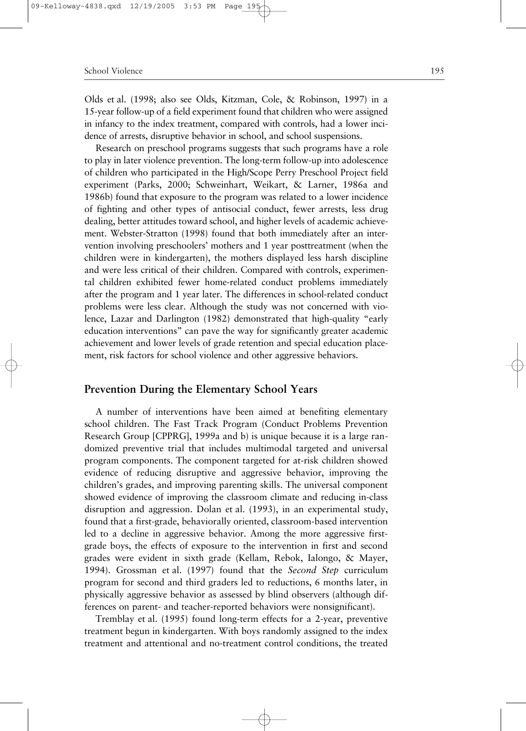Olds et al. (1998; also see Olds, Kitzman, Cole, & Robinson, 1997) in a 15-year follow-up of a field experiment found that children who were assigned in infancy to the index treatment, compared with controls, had a lower incidence of arrests, disruptive behavior in school, and school suspensions.

Research on preschool programs suggests that such programs have a role to play in later violence prevention. The long-term follow-up into adolescence of children who participated in the High/Scope Perry Preschool Project field experiment (Parks, 2000; Schweinhart, Weikart, & Larner, 1986a and 1986b) found that exposure to the program was related to a lower incidence of fighting and other types of antisocial conduct, fewer arrests, less drug dealing, better attitudes toward school, and higher levels of academic achievement. Webster-Stratton (1998) found that both immediately after an intervention involving preschoolers' mothers and 1 year posttreatment (when the children were in kindergarten), the mothers displayed less harsh discipline and were less critical of their children. Compared with controls, experimental children exhibited fewer home-related conduct problems immediately after the program and 1 year later. The differences in school-related conduct problems were less clear. Although the study was not concerned with violence, Lazar and Darlington (1982) demonstrated that high-quality "early education interventions" can pave the way for significantly greater academic achievement and lower levels of grade retention and special education placement, risk factors for school violence and other aggressive behaviors.

## **Prevention During the Elementary School Years**

A number of interventions have been aimed at benefiting elementary school children. The Fast Track Program (Conduct Problems Prevention Research Group [CPPRG], 1999a and b) is unique because it is a large randomized preventive trial that includes multimodal targeted and universal program components. The component targeted for at-risk children showed evidence of reducing disruptive and aggressive behavior, improving the children's grades, and improving parenting skills. The universal component showed evidence of improving the classroom climate and reducing in-class disruption and aggression. Dolan et al. (1993), in an experimental study, found that a first-grade, behaviorally oriented, classroom-based intervention led to a decline in aggressive behavior. Among the more aggressive firstgrade boys, the effects of exposure to the intervention in first and second grades were evident in sixth grade (Kellam, Rebok, Ialongo, & Mayer, 1994). Grossman et al. (1997) found that the *Second Step* curriculum program for second and third graders led to reductions, 6 months later, in physically aggressive behavior as assessed by blind observers (although differences on parent- and teacher-reported behaviors were nonsignificant).

Tremblay et al. (1995) found long-term effects for a 2-year, preventive treatment begun in kindergarten. With boys randomly assigned to the index treatment and attentional and no-treatment control conditions, the treated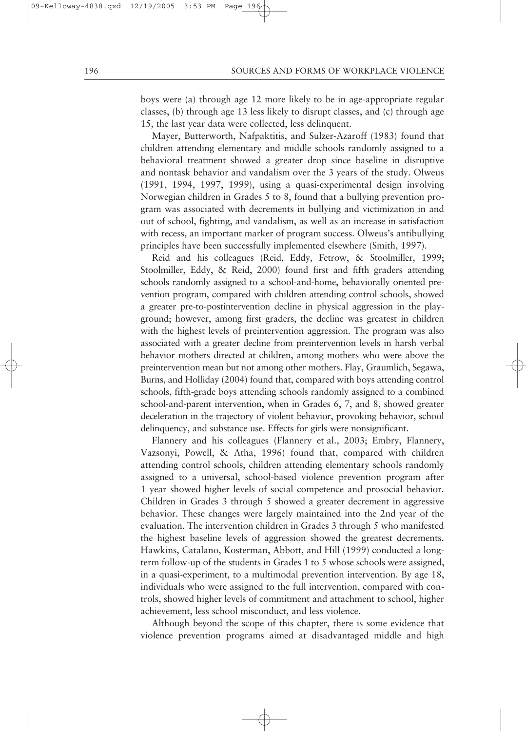boys were (a) through age 12 more likely to be in age-appropriate regular classes, (b) through age 13 less likely to disrupt classes, and (c) through age 15, the last year data were collected, less delinquent.

Mayer, Butterworth, Nafpaktitis, and Sulzer-Azaroff (1983) found that children attending elementary and middle schools randomly assigned to a behavioral treatment showed a greater drop since baseline in disruptive and nontask behavior and vandalism over the 3 years of the study. Olweus (1991, 1994, 1997, 1999), using a quasi-experimental design involving Norwegian children in Grades 5 to 8, found that a bullying prevention program was associated with decrements in bullying and victimization in and out of school, fighting, and vandalism, as well as an increase in satisfaction with recess, an important marker of program success. Olweus's antibullying principles have been successfully implemented elsewhere (Smith, 1997).

Reid and his colleagues (Reid, Eddy, Fetrow, & Stoolmiller, 1999; Stoolmiller, Eddy, & Reid, 2000) found first and fifth graders attending schools randomly assigned to a school-and-home, behaviorally oriented prevention program, compared with children attending control schools, showed a greater pre-to-postintervention decline in physical aggression in the playground; however, among first graders, the decline was greatest in children with the highest levels of preintervention aggression. The program was also associated with a greater decline from preintervention levels in harsh verbal behavior mothers directed at children, among mothers who were above the preintervention mean but not among other mothers. Flay, Graumlich, Segawa, Burns, and Holliday (2004) found that, compared with boys attending control schools, fifth-grade boys attending schools randomly assigned to a combined school-and-parent intervention, when in Grades 6, 7, and 8, showed greater deceleration in the trajectory of violent behavior, provoking behavior, school delinquency, and substance use. Effects for girls were nonsignificant.

Flannery and his colleagues (Flannery et al., 2003; Embry, Flannery, Vazsonyi, Powell, & Atha, 1996) found that, compared with children attending control schools, children attending elementary schools randomly assigned to a universal, school-based violence prevention program after 1 year showed higher levels of social competence and prosocial behavior. Children in Grades 3 through 5 showed a greater decrement in aggressive behavior. These changes were largely maintained into the 2nd year of the evaluation. The intervention children in Grades 3 through 5 who manifested the highest baseline levels of aggression showed the greatest decrements. Hawkins, Catalano, Kosterman, Abbott, and Hill (1999) conducted a longterm follow-up of the students in Grades 1 to 5 whose schools were assigned, in a quasi-experiment, to a multimodal prevention intervention. By age 18, individuals who were assigned to the full intervention, compared with controls, showed higher levels of commitment and attachment to school, higher achievement, less school misconduct, and less violence.

Although beyond the scope of this chapter, there is some evidence that violence prevention programs aimed at disadvantaged middle and high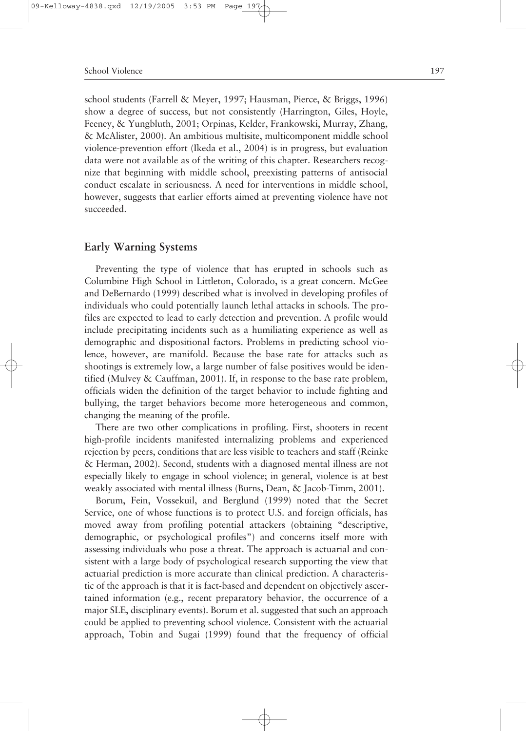school students (Farrell & Meyer, 1997; Hausman, Pierce, & Briggs, 1996) show a degree of success, but not consistently (Harrington, Giles, Hoyle, Feeney, & Yungbluth, 2001; Orpinas, Kelder, Frankowski, Murray, Zhang, & McAlister, 2000). An ambitious multisite, multicomponent middle school violence-prevention effort (Ikeda et al., 2004) is in progress, but evaluation data were not available as of the writing of this chapter. Researchers recognize that beginning with middle school, preexisting patterns of antisocial conduct escalate in seriousness. A need for interventions in middle school, however, suggests that earlier efforts aimed at preventing violence have not succeeded.

# **Early Warning Systems**

Preventing the type of violence that has erupted in schools such as Columbine High School in Littleton, Colorado, is a great concern. McGee and DeBernardo (1999) described what is involved in developing profiles of individuals who could potentially launch lethal attacks in schools. The profiles are expected to lead to early detection and prevention. A profile would include precipitating incidents such as a humiliating experience as well as demographic and dispositional factors. Problems in predicting school violence, however, are manifold. Because the base rate for attacks such as shootings is extremely low, a large number of false positives would be identified (Mulvey & Cauffman, 2001). If, in response to the base rate problem, officials widen the definition of the target behavior to include fighting and bullying, the target behaviors become more heterogeneous and common, changing the meaning of the profile.

There are two other complications in profiling. First, shooters in recent high-profile incidents manifested internalizing problems and experienced rejection by peers, conditions that are less visible to teachers and staff (Reinke & Herman, 2002). Second, students with a diagnosed mental illness are not especially likely to engage in school violence; in general, violence is at best weakly associated with mental illness (Burns, Dean, & Jacob-Timm, 2001).

Borum, Fein, Vossekuil, and Berglund (1999) noted that the Secret Service, one of whose functions is to protect U.S. and foreign officials, has moved away from profiling potential attackers (obtaining "descriptive, demographic, or psychological profiles") and concerns itself more with assessing individuals who pose a threat. The approach is actuarial and consistent with a large body of psychological research supporting the view that actuarial prediction is more accurate than clinical prediction. A characteristic of the approach is that it is fact-based and dependent on objectively ascertained information (e.g., recent preparatory behavior, the occurrence of a major SLE, disciplinary events). Borum et al. suggested that such an approach could be applied to preventing school violence. Consistent with the actuarial approach, Tobin and Sugai (1999) found that the frequency of official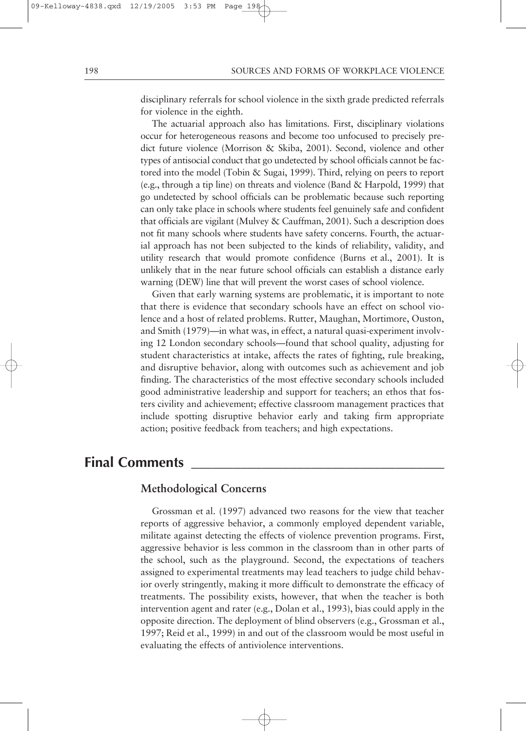disciplinary referrals for school violence in the sixth grade predicted referrals for violence in the eighth.

The actuarial approach also has limitations. First, disciplinary violations occur for heterogeneous reasons and become too unfocused to precisely predict future violence (Morrison & Skiba, 2001). Second, violence and other types of antisocial conduct that go undetected by school officials cannot be factored into the model (Tobin & Sugai, 1999). Third, relying on peers to report (e.g., through a tip line) on threats and violence (Band & Harpold, 1999) that go undetected by school officials can be problematic because such reporting can only take place in schools where students feel genuinely safe and confident that officials are vigilant (Mulvey & Cauffman, 2001). Such a description does not fit many schools where students have safety concerns. Fourth, the actuarial approach has not been subjected to the kinds of reliability, validity, and utility research that would promote confidence (Burns et al., 2001). It is unlikely that in the near future school officials can establish a distance early warning (DEW) line that will prevent the worst cases of school violence.

Given that early warning systems are problematic, it is important to note that there is evidence that secondary schools have an effect on school violence and a host of related problems. Rutter, Maughan, Mortimore, Ouston, and Smith (1979)—in what was, in effect, a natural quasi-experiment involving 12 London secondary schools—found that school quality, adjusting for student characteristics at intake, affects the rates of fighting, rule breaking, and disruptive behavior, along with outcomes such as achievement and job finding. The characteristics of the most effective secondary schools included good administrative leadership and support for teachers; an ethos that fosters civility and achievement; effective classroom management practices that include spotting disruptive behavior early and taking firm appropriate action; positive feedback from teachers; and high expectations.

# **Final Comments \_\_\_\_\_\_\_\_\_\_\_\_\_\_\_\_\_\_\_\_\_\_\_\_\_\_\_\_\_\_\_\_\_\_\_\_**

# **Methodological Concerns**

Grossman et al. (1997) advanced two reasons for the view that teacher reports of aggressive behavior, a commonly employed dependent variable, militate against detecting the effects of violence prevention programs. First, aggressive behavior is less common in the classroom than in other parts of the school, such as the playground. Second, the expectations of teachers assigned to experimental treatments may lead teachers to judge child behavior overly stringently, making it more difficult to demonstrate the efficacy of treatments. The possibility exists, however, that when the teacher is both intervention agent and rater (e.g., Dolan et al., 1993), bias could apply in the opposite direction. The deployment of blind observers (e.g., Grossman et al., 1997; Reid et al., 1999) in and out of the classroom would be most useful in evaluating the effects of antiviolence interventions.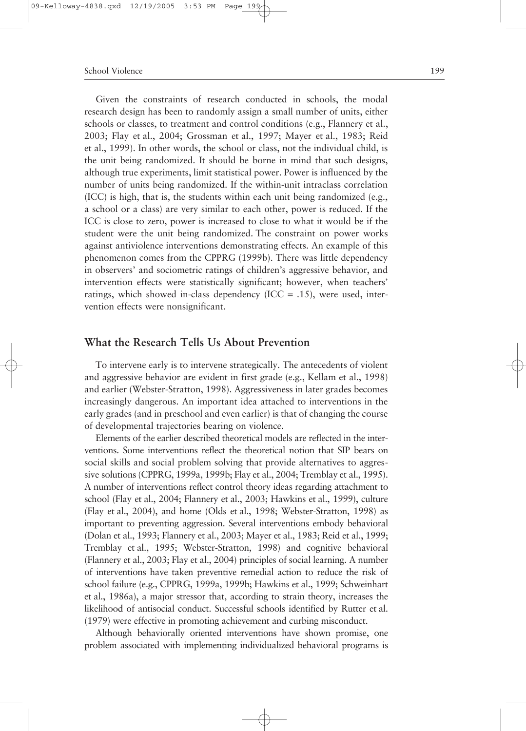Given the constraints of research conducted in schools, the modal research design has been to randomly assign a small number of units, either schools or classes, to treatment and control conditions (e.g., Flannery et al., 2003; Flay et al., 2004; Grossman et al., 1997; Mayer et al., 1983; Reid et al., 1999). In other words, the school or class, not the individual child, is the unit being randomized. It should be borne in mind that such designs, although true experiments, limit statistical power. Power is influenced by the number of units being randomized. If the within-unit intraclass correlation (ICC) is high, that is, the students within each unit being randomized (e.g., a school or a class) are very similar to each other, power is reduced. If the ICC is close to zero, power is increased to close to what it would be if the student were the unit being randomized. The constraint on power works against antiviolence interventions demonstrating effects. An example of this phenomenon comes from the CPPRG (1999b). There was little dependency in observers' and sociometric ratings of children's aggressive behavior, and intervention effects were statistically significant; however, when teachers' ratings, which showed in-class dependency (ICC = .15), were used, intervention effects were nonsignificant.

# **What the Research Tells Us About Prevention**

To intervene early is to intervene strategically. The antecedents of violent and aggressive behavior are evident in first grade (e.g., Kellam et al., 1998) and earlier (Webster-Stratton, 1998). Aggressiveness in later grades becomes increasingly dangerous. An important idea attached to interventions in the early grades (and in preschool and even earlier) is that of changing the course of developmental trajectories bearing on violence.

Elements of the earlier described theoretical models are reflected in the interventions. Some interventions reflect the theoretical notion that SIP bears on social skills and social problem solving that provide alternatives to aggressive solutions (CPPRG, 1999a, 1999b; Flay et al., 2004; Tremblay et al., 1995). A number of interventions reflect control theory ideas regarding attachment to school (Flay et al., 2004; Flannery et al., 2003; Hawkins et al., 1999), culture (Flay et al., 2004), and home (Olds et al., 1998; Webster-Stratton, 1998) as important to preventing aggression. Several interventions embody behavioral (Dolan et al., 1993; Flannery et al., 2003; Mayer et al., 1983; Reid et al., 1999; Tremblay et al., 1995; Webster-Stratton, 1998) and cognitive behavioral (Flannery et al., 2003; Flay et al., 2004) principles of social learning. A number of interventions have taken preventive remedial action to reduce the risk of school failure (e.g., CPPRG, 1999a, 1999b; Hawkins et al., 1999; Schweinhart et al., 1986a), a major stressor that, according to strain theory, increases the likelihood of antisocial conduct. Successful schools identified by Rutter et al. (1979) were effective in promoting achievement and curbing misconduct.

Although behaviorally oriented interventions have shown promise, one problem associated with implementing individualized behavioral programs is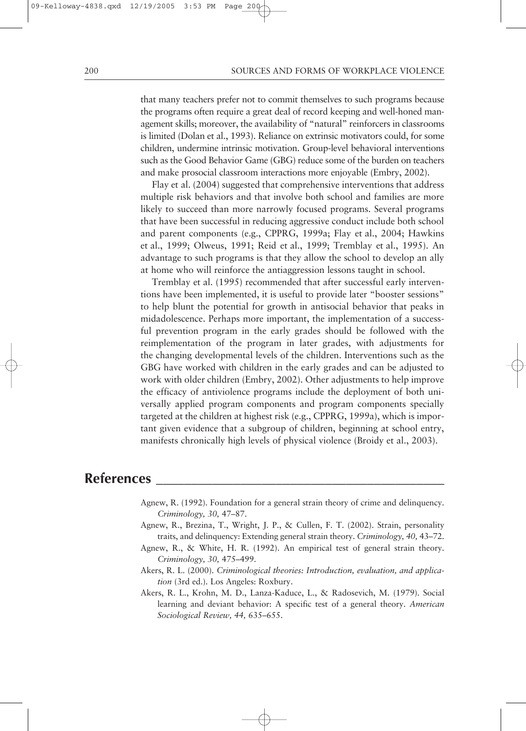that many teachers prefer not to commit themselves to such programs because the programs often require a great deal of record keeping and well-honed management skills; moreover, the availability of "natural" reinforcers in classrooms is limited (Dolan et al., 1993). Reliance on extrinsic motivators could, for some children, undermine intrinsic motivation. Group-level behavioral interventions such as the Good Behavior Game (GBG) reduce some of the burden on teachers and make prosocial classroom interactions more enjoyable (Embry, 2002).

Flay et al. (2004) suggested that comprehensive interventions that address multiple risk behaviors and that involve both school and families are more likely to succeed than more narrowly focused programs. Several programs that have been successful in reducing aggressive conduct include both school and parent components (e.g., CPPRG, 1999a; Flay et al., 2004; Hawkins et al., 1999; Olweus, 1991; Reid et al., 1999; Tremblay et al., 1995). An advantage to such programs is that they allow the school to develop an ally at home who will reinforce the antiaggression lessons taught in school.

Tremblay et al. (1995) recommended that after successful early interventions have been implemented, it is useful to provide later "booster sessions" to help blunt the potential for growth in antisocial behavior that peaks in midadolescence. Perhaps more important, the implementation of a successful prevention program in the early grades should be followed with the reimplementation of the program in later grades, with adjustments for the changing developmental levels of the children. Interventions such as the GBG have worked with children in the early grades and can be adjusted to work with older children (Embry, 2002). Other adjustments to help improve the efficacy of antiviolence programs include the deployment of both universally applied program components and program components specially targeted at the children at highest risk (e.g., CPPRG, 1999a), which is important given evidence that a subgroup of children, beginning at school entry, manifests chronically high levels of physical violence (Broidy et al., 2003).

# **References \_\_\_\_\_\_\_\_\_\_\_\_\_\_\_\_\_\_\_\_\_\_\_\_\_\_\_\_\_\_\_\_\_\_\_\_\_\_\_\_\_**

- Agnew, R. (1992). Foundation for a general strain theory of crime and delinquency. *Criminology, 30,* 47–87.
- Agnew, R., Brezina, T., Wright, J. P., & Cullen, F. T. (2002). Strain, personality traits, and delinquency: Extending general strain theory. *Criminology, 40,* 43–72.
- Agnew, R., & White, H. R. (1992). An empirical test of general strain theory. *Criminology, 30,* 475–499.
- Akers, R. L. (2000). *Criminological theories: Introduction, evaluation, and application* (3rd ed.). Los Angeles: Roxbury.
- Akers, R. L., Krohn, M. D., Lanza-Kaduce, L., & Radosevich, M. (1979). Social learning and deviant behavior: A specific test of a general theory. *American Sociological Review, 44,* 635–655.

09-Kelloway-4838.qxd 12/19/2005 3:53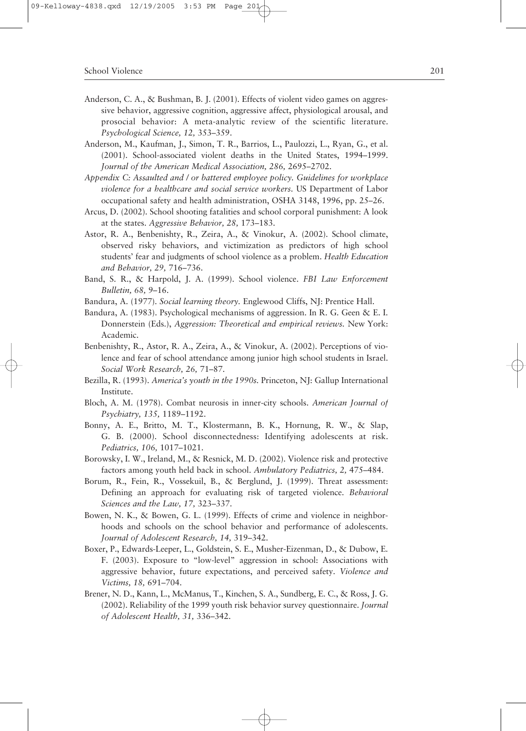- Anderson, C. A., & Bushman, B. J. (2001). Effects of violent video games on aggressive behavior, aggressive cognition, aggressive affect, physiological arousal, and prosocial behavior: A meta-analytic review of the scientific literature. *Psychological Science, 12,* 353–359.
- Anderson, M., Kaufman, J., Simon, T. R., Barrios, L., Paulozzi, L., Ryan, G., et al. (2001). School-associated violent deaths in the United States, 1994–1999. *Journal of the American Medical Association, 286,* 2695–2702.
- *Appendix C: Assaulted and / or battered employee policy. Guidelines for workplace violence for a healthcare and social service workers.* US Department of Labor occupational safety and health administration, OSHA 3148, 1996, pp. 25–26.
- Arcus, D. (2002). School shooting fatalities and school corporal punishment: A look at the states. *Aggressive Behavior, 28,* 173–183.
- Astor, R. A., Benbenishty, R., Zeira, A., & Vinokur, A. (2002). School climate, observed risky behaviors, and victimization as predictors of high school students' fear and judgments of school violence as a problem. *Health Education and Behavior, 29,* 716–736.
- Band, S. R., & Harpold, J. A. (1999). School violence. *FBI Law Enforcement Bulletin, 68,* 9–16.
- Bandura, A. (1977). *Social learning theory.* Englewood Cliffs, NJ: Prentice Hall.
- Bandura, A. (1983). Psychological mechanisms of aggression. In R. G. Geen & E. I. Donnerstein (Eds.), *Aggression: Theoretical and empirical reviews.* New York: Academic.
- Benbenishty, R., Astor, R. A., Zeira, A., & Vinokur, A. (2002). Perceptions of violence and fear of school attendance among junior high school students in Israel. *Social Work Research, 26,* 71–87.
- Bezilla, R. (1993). *America's youth in the 1990s.* Princeton, NJ: Gallup International Institute.
- Bloch, A. M. (1978). Combat neurosis in inner-city schools. *American Journal of Psychiatry, 135,* 1189–1192.
- Bonny, A. E., Britto, M. T., Klostermann, B. K., Hornung, R. W., & Slap, G. B. (2000). School disconnectedness: Identifying adolescents at risk. *Pediatrics, 106,* 1017–1021.
- Borowsky, I. W., Ireland, M., & Resnick, M. D. (2002). Violence risk and protective factors among youth held back in school. *Ambulatory Pediatrics, 2,* 475–484.
- Borum, R., Fein, R., Vossekuil, B., & Berglund, J. (1999). Threat assessment: Defining an approach for evaluating risk of targeted violence. *Behavioral Sciences and the Law, 17,* 323–337.
- Bowen, N. K., & Bowen, G. L. (1999). Effects of crime and violence in neighborhoods and schools on the school behavior and performance of adolescents. *Journal of Adolescent Research, 14,* 319–342.
- Boxer, P., Edwards-Leeper, L., Goldstein, S. E., Musher-Eizenman, D., & Dubow, E. F. (2003). Exposure to "low-level" aggression in school: Associations with aggressive behavior, future expectations, and perceived safety. *Violence and Victims, 18,* 691–704.
- Brener, N. D., Kann, L., McManus, T., Kinchen, S. A., Sundberg, E. C., & Ross, J. G. (2002). Reliability of the 1999 youth risk behavior survey questionnaire. *Journal of Adolescent Health, 31,* 336–342.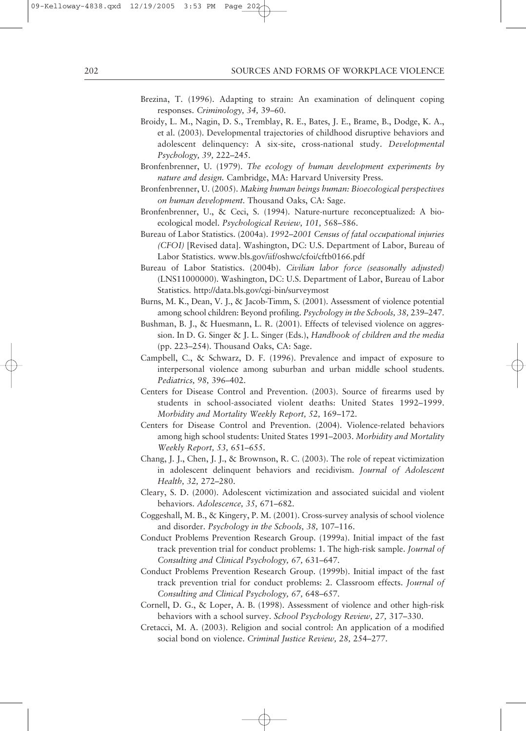- Brezina, T. (1996). Adapting to strain: An examination of delinquent coping responses. *Criminology, 34,* 39–60.
- Broidy, L. M., Nagin, D. S., Tremblay, R. E., Bates, J. E., Brame, B., Dodge, K. A., et al. (2003). Developmental trajectories of childhood disruptive behaviors and adolescent delinquency: A six-site, cross-national study. *Developmental Psychology, 39,* 222–245.
- Bronfenbrenner, U. (1979). *The ecology of human development experiments by nature and design.* Cambridge, MA: Harvard University Press.
- Bronfenbrenner, U. (2005). *Making human beings human: Bioecological perspectives on human development.* Thousand Oaks, CA: Sage.
- Bronfenbrenner, U., & Ceci, S. (1994). Nature-nurture reconceptualized: A bioecological model. *Psychological Review, 101,* 568–586.
- Bureau of Labor Statistics. (2004a). *1992–2001 Census of fatal occupational injuries (CFOI)* [Revised data]. Washington, DC: U.S. Department of Labor, Bureau of Labor Statistics. www.bls.gov/iif/oshwc/cfoi/cftb0166.pdf
- Bureau of Labor Statistics. (2004b). *Civilian labor force (seasonally adjusted)* (LNS11000000). Washington, DC: U.S. Department of Labor, Bureau of Labor Statistics. http://data.bls.gov/cgi-bin/surveymost
- Burns, M. K., Dean, V. J., & Jacob-Timm, S. (2001). Assessment of violence potential among school children: Beyond profiling. *Psychology in the Schools, 38,* 239–247.
- Bushman, B. J., & Huesmann, L. R. (2001). Effects of televised violence on aggression. In D. G. Singer & J. L. Singer (Eds.), *Handbook of children and the media* (pp. 223–254). Thousand Oaks, CA: Sage.
- Campbell, C., & Schwarz, D. F. (1996). Prevalence and impact of exposure to interpersonal violence among suburban and urban middle school students. *Pediatrics, 98,* 396–402.
- Centers for Disease Control and Prevention. (2003). Source of firearms used by students in school-associated violent deaths: United States 1992–1999. *Morbidity and Mortality Weekly Report, 52,* 169–172.
- Centers for Disease Control and Prevention. (2004). Violence-related behaviors among high school students: United States 1991–2003. *Morbidity and Mortality Weekly Report, 53,* 651–655.
- Chang, J. J., Chen, J. J., & Brownson, R. C. (2003). The role of repeat victimization in adolescent delinquent behaviors and recidivism. *Journal of Adolescent Health, 32,* 272–280.
- Cleary, S. D. (2000). Adolescent victimization and associated suicidal and violent behaviors. *Adolescence, 35,* 671–682.
- Coggeshall, M. B., & Kingery, P. M. (2001). Cross-survey analysis of school violence and disorder. *Psychology in the Schools, 38,* 107–116.
- Conduct Problems Prevention Research Group. (1999a). Initial impact of the fast track prevention trial for conduct problems: 1. The high-risk sample. *Journal of Consulting and Clinical Psychology, 67,* 631–647.
- Conduct Problems Prevention Research Group. (1999b). Initial impact of the fast track prevention trial for conduct problems: 2. Classroom effects. *Journal of Consulting and Clinical Psychology, 67,* 648–657.
- Cornell, D. G., & Loper, A. B. (1998). Assessment of violence and other high-risk behaviors with a school survey. *School Psychology Review, 27,* 317–330.
- Cretacci, M. A. (2003). Religion and social control: An application of a modified social bond on violence. *Criminal Justice Review, 28,* 254–277.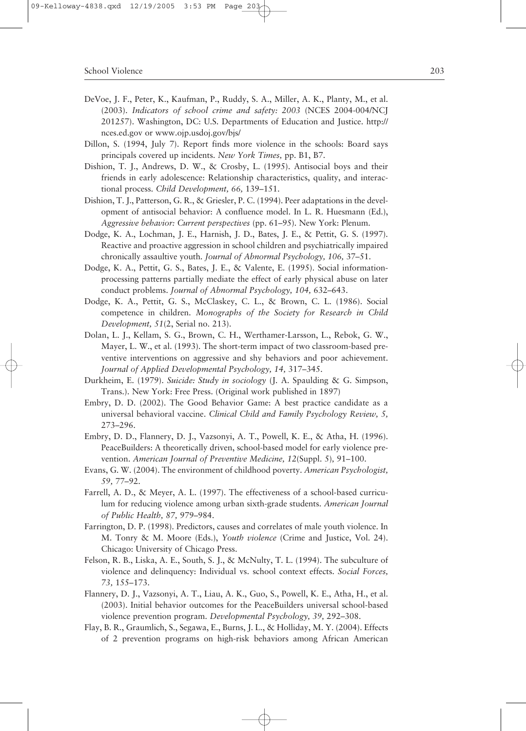- DeVoe, J. F., Peter, K., Kaufman, P., Ruddy, S. A., Miller, A. K., Planty, M., et al. (2003). *Indicators of school crime and safety: 2003* (NCES 2004-004/NCJ 201257). Washington, DC: U.S. Departments of Education and Justice. http:// nces.ed.gov or www.ojp.usdoj.gov/bjs/
- Dillon, S. (1994, July 7). Report finds more violence in the schools: Board says principals covered up incidents. *New York Times,* pp. B1, B7.
- Dishion, T. J., Andrews, D. W., & Crosby, L. (1995). Antisocial boys and their friends in early adolescence: Relationship characteristics, quality, and interactional process. *Child Development, 66,* 139–151.
- Dishion, T. J., Patterson, G. R., & Griesler, P. C. (1994). Peer adaptations in the development of antisocial behavior: A confluence model. In L. R. Huesmann (Ed.), *Aggressive behavior: Current perspectives* (pp. 61–95). New York: Plenum.
- Dodge, K. A., Lochman, J. E., Harnish, J. D., Bates, J. E., & Pettit, G. S. (1997). Reactive and proactive aggression in school children and psychiatrically impaired chronically assaultive youth. *Journal of Abnormal Psychology, 106,* 37–51.
- Dodge, K. A., Pettit, G. S., Bates, J. E., & Valente, E. (1995). Social informationprocessing patterns partially mediate the effect of early physical abuse on later conduct problems. *Journal of Abnormal Psychology, 104,* 632–643.
- Dodge, K. A., Pettit, G. S., McClaskey, C. L., & Brown, C. L. (1986). Social competence in children. *Monographs of the Society for Research in Child Development, 51*(2, Serial no. 213).
- Dolan, L. J., Kellam, S. G., Brown, C. H., Werthamer-Larsson, L., Rebok, G. W., Mayer, L. W., et al. (1993). The short-term impact of two classroom-based preventive interventions on aggressive and shy behaviors and poor achievement. *Journal of Applied Developmental Psychology, 14,* 317–345.
- Durkheim, E. (1979). *Suicide: Study in sociology* (J. A. Spaulding & G. Simpson, Trans.). New York: Free Press. (Original work published in 1897)
- Embry, D. D. (2002). The Good Behavior Game: A best practice candidate as a universal behavioral vaccine. *Clinical Child and Family Psychology Review, 5,* 273–296.
- Embry, D. D., Flannery, D. J., Vazsonyi, A. T., Powell, K. E., & Atha, H. (1996). PeaceBuilders: A theoretically driven, school-based model for early violence prevention. *American Journal of Preventive Medicine, 12*(Suppl. 5)*,* 91–100.
- Evans, G. W. (2004). The environment of childhood poverty. *American Psychologist, 59,* 77–92.
- Farrell, A. D., & Meyer, A. L. (1997). The effectiveness of a school-based curriculum for reducing violence among urban sixth-grade students. *American Journal of Public Health, 87,* 979–984.
- Farrington, D. P. (1998). Predictors, causes and correlates of male youth violence. In M. Tonry & M. Moore (Eds.), *Youth violence* (Crime and Justice, Vol. 24). Chicago: University of Chicago Press.
- Felson, R. B., Liska, A. E., South, S. J., & McNulty, T. L. (1994). The subculture of violence and delinquency: Individual vs. school context effects. *Social Forces, 73,* 155–173.
- Flannery, D. J., Vazsonyi, A. T., Liau, A. K., Guo, S., Powell, K. E., Atha, H., et al. (2003). Initial behavior outcomes for the PeaceBuilders universal school-based violence prevention program. *Developmental Psychology, 39,* 292–308.
- Flay, B. R., Graumlich, S., Segawa, E., Burns, J. L., & Holliday, M. Y. (2004). Effects of 2 prevention programs on high-risk behaviors among African American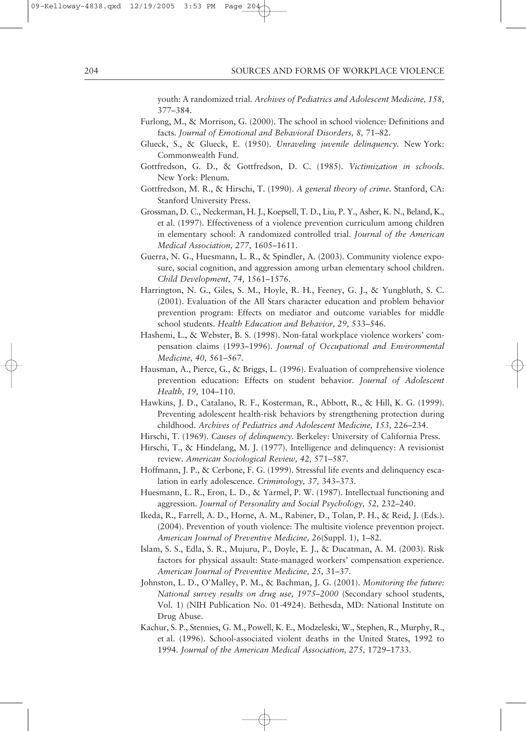youth: A randomized trial. *Archives of Pediatrics and Adolescent Medicine, 158,* 377–384.

- Furlong, M., & Morrison, G. (2000). The school in school violence: Definitions and facts. *Journal of Emotional and Behavioral Disorders, 8,* 71–82.
- Glueck, S., & Glueck, E. (1950). *Unraveling juvenile delinquency.* New York: Commonwealth Fund.
- Gottfredson, G. D., & Gottfredson, D. C. (1985). *Victimization in schools.* New York: Plenum.
- Gottfredson, M. R., & Hirschi, T. (1990). *A general theory of crime.* Stanford, CA: Stanford University Press.
- Grossman, D. C., Neckerman, H. J., Koepsell, T. D., Liu, P. Y., Asher, K. N., Beland, K., et al. (1997). Effectiveness of a violence prevention curriculum among children in elementary school: A randomized controlled trial. *Journal of the American Medical Association, 277,* 1605–1611.
- Guerra, N. G., Huesmann, L. R., & Spindler, A. (2003). Community violence exposure, social cognition, and aggression among urban elementary school children. *Child Development, 74,* 1561–1576.
- Harrington, N. G., Giles, S. M., Hoyle, R. H., Feeney, G. J., & Yungbluth, S. C. (2001). Evaluation of the All Stars character education and problem behavior prevention program: Effects on mediator and outcome variables for middle school students. *Health Education and Behavior, 29,* 533–546.
- Hashemi, L., & Webster, B. S. (1998). Non-fatal workplace violence workers' compensation claims (1993–1996). *Journal of Occupational and Environmental Medicine, 40,* 561–567.
- Hausman, A., Pierce, G., & Briggs, L. (1996). Evaluation of comprehensive violence prevention education: Effects on student behavior. *Journal of Adolescent Health, 19,* 104–110.
- Hawkins, J. D., Catalano, R. F., Kosterman, R., Abbott, R., & Hill, K. G. (1999). Preventing adolescent health-risk behaviors by strengthening protection during childhood. *Archives of Pediatrics and Adolescent Medicine, 153,* 226–234.
- Hirschi, T. (1969). *Causes of delinquency.* Berkeley: University of California Press.
- Hirschi, T., & Hindelang, M. J. (1977). Intelligence and delinquency: A revisionist review. *American Sociological Review, 42,* 571–587.
- Hoffmann, J. P., & Cerbone, F. G. (1999). Stressful life events and delinquency escalation in early adolescence. *Criminology, 37,* 343–373.
- Huesmann, L. R., Eron, L. D., & Yarmel, P. W. (1987). Intellectual functioning and aggression. *Journal of Personality and Social Psychology, 52,* 232–240.
- Ikeda, R., Farrell, A. D., Horne, A. M., Rabiner, D., Tolan, P. H., & Reid, J. (Eds.). (2004). Prevention of youth violence: The multisite violence prevention project. *American Journal of Preventive Medicine, 26*(Suppl. 1), 1–82.
- Islam, S. S., Edla, S. R., Mujuru, P., Doyle, E. J., & Ducatman, A. M. (2003). Risk factors for physical assault: State-managed workers' compensation experience. *American Journal of Preventive Medicine, 25,* 31–37.
- Johnston, L. D., O'Malley, P. M., & Bachman, J. G. (2001). *Monitoring the future: National survey results on drug use, 1975–2000* (Secondary school students, Vol. 1) (NIH Publication No. 01-4924). Bethesda, MD: National Institute on Drug Abuse.
- Kachur, S. P., Stennies, G. M., Powell, K. E., Modzeleski, W., Stephen, R., Murphy, R., et al. (1996). School-associated violent deaths in the United States, 1992 to 1994. *Journal of the American Medical Association, 275,* 1729–1733.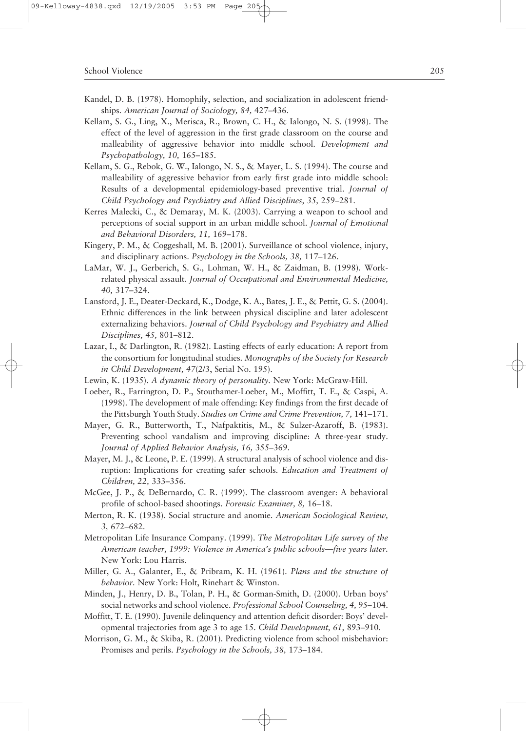- Kandel, D. B. (1978). Homophily, selection, and socialization in adolescent friendships. *American Journal of Sociology, 84,* 427–436.
- Kellam, S. G., Ling, X., Merisca, R., Brown, C. H., & Ialongo, N. S. (1998). The effect of the level of aggression in the first grade classroom on the course and malleability of aggressive behavior into middle school. *Development and Psychopathology, 10,* 165–185.
- Kellam, S. G., Rebok, G. W., Ialongo, N. S., & Mayer, L. S. (1994). The course and malleability of aggressive behavior from early first grade into middle school: Results of a developmental epidemiology-based preventive trial. *Journal of Child Psychology and Psychiatry and Allied Disciplines, 35,* 259–281.
- Kerres Malecki, C., & Demaray, M. K. (2003). Carrying a weapon to school and perceptions of social support in an urban middle school. *Journal of Emotional and Behavioral Disorders, 11,* 169–178.
- Kingery, P. M., & Coggeshall, M. B. (2001). Surveillance of school violence, injury, and disciplinary actions. *Psychology in the Schools, 38,* 117–126.
- LaMar, W. J., Gerberich, S. G., Lohman, W. H., & Zaidman, B. (1998). Workrelated physical assault. *Journal of Occupational and Environmental Medicine, 40,* 317–324.
- Lansford, J. E., Deater-Deckard, K., Dodge, K. A., Bates, J. E., & Pettit, G. S. (2004). Ethnic differences in the link between physical discipline and later adolescent externalizing behaviors. *Journal of Child Psychology and Psychiatry and Allied Disciplines, 45,* 801–812.
- Lazar, I., & Darlington, R. (1982). Lasting effects of early education: A report from the consortium for longitudinal studies. *Monographs of the Society for Research in Child Development, 47*(2/3, Serial No. 195).
- Lewin, K. (1935). *A dynamic theory of personality.* New York: McGraw-Hill.
- Loeber, R., Farrington, D. P., Stouthamer-Loeber, M., Moffitt, T. E., & Caspi, A. (1998). The development of male offending: Key findings from the first decade of the Pittsburgh Youth Study. *Studies on Crime and Crime Prevention, 7,* 141–171.
- Mayer, G. R., Butterworth, T., Nafpaktitis, M., & Sulzer-Azaroff, B. (1983). Preventing school vandalism and improving discipline: A three-year study. *Journal of Applied Behavior Analysis, 16,* 355–369.
- Mayer, M. J., & Leone, P. E. (1999). A structural analysis of school violence and disruption: Implications for creating safer schools. *Education and Treatment of Children, 22,* 333–356.
- McGee, J. P., & DeBernardo, C. R. (1999). The classroom avenger: A behavioral profile of school-based shootings. *Forensic Examiner, 8,* 16–18.
- Merton, R. K. (1938). Social structure and anomie. *American Sociological Review, 3,* 672–682.
- Metropolitan Life Insurance Company. (1999). *The Metropolitan Life survey of the American teacher, 1999: Violence in America's public schools—five years later.* New York: Lou Harris.
- Miller, G. A., Galanter, E., & Pribram, K. H. (1961). *Plans and the structure of behavior.* New York: Holt, Rinehart & Winston.
- Minden, J., Henry, D. B., Tolan, P. H., & Gorman-Smith, D. (2000). Urban boys' social networks and school violence. *Professional School Counseling, 4,* 95–104.
- Moffitt, T. E. (1990). Juvenile delinquency and attention deficit disorder: Boys' developmental trajectories from age 3 to age 15. *Child Development, 61,* 893–910.
- Morrison, G. M., & Skiba, R. (2001). Predicting violence from school misbehavior: Promises and perils. *Psychology in the Schools, 38,* 173–184.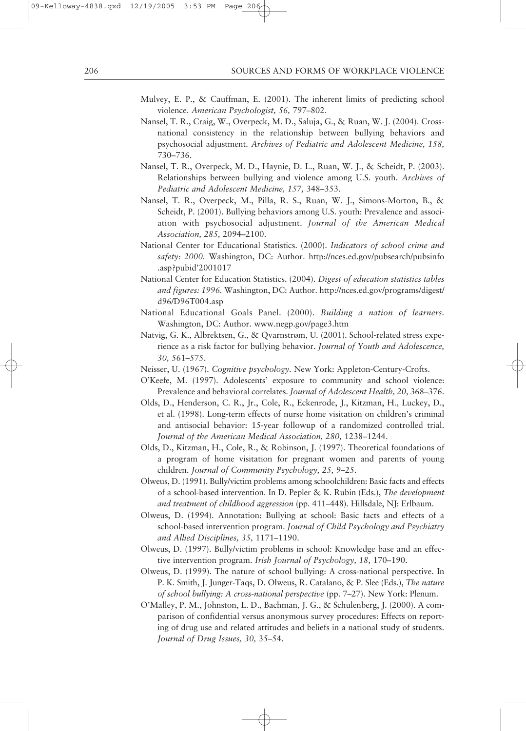- Mulvey, E. P., & Cauffman, E. (2001). The inherent limits of predicting school violence. *American Psychologist, 56,* 797–802.
- Nansel, T. R., Craig, W., Overpeck, M. D., Saluja, G., & Ruan, W. J. (2004). Crossnational consistency in the relationship between bullying behaviors and psychosocial adjustment. *Archives of Pediatric and Adolescent Medicine, 158,* 730–736.
- Nansel, T. R., Overpeck, M. D., Haynie, D. L., Ruan, W. J., & Scheidt, P. (2003). Relationships between bullying and violence among U.S. youth. *Archives of Pediatric and Adolescent Medicine, 157,* 348–353.
- Nansel, T. R., Overpeck, M., Pilla, R. S., Ruan, W. J., Simons-Morton, B., & Scheidt, P. (2001). Bullying behaviors among U.S. youth: Prevalence and association with psychosocial adjustment. *Journal of the American Medical Association, 285,* 2094–2100.
- National Center for Educational Statistics. (2000). *Indicators of school crime and safety: 2000.* Washington, DC: Author. http://nces.ed.gov/pubsearch/pubsinfo .asp?pubid'2001017
- National Center for Education Statistics. (2004). *Digest of education statistics tables and figures: 1996.* Washington, DC: Author. http://nces.ed.gov/programs/digest/ d96/D96T004.asp
- National Educational Goals Panel. (2000). *Building a nation of learners.* Washington, DC: Author. www.negp.gov/page3.htm
- Natvig, G. K., Albrektsen, G., & Qvarnstrøm, U. (2001). School-related stress experience as a risk factor for bullying behavior. *Journal of Youth and Adolescence, 30,* 561–575.
- Neisser, U. (1967). *Cognitive psychology.* New York: Appleton-Century-Crofts.
- O'Keefe, M. (1997). Adolescents' exposure to community and school violence: Prevalence and behavioral correlates. *Journal of Adolescent Health, 20,* 368–376.
- Olds, D., Henderson, C. R., Jr., Cole, R., Eckenrode, J., Kitzman, H., Luckey, D., et al. (1998). Long-term effects of nurse home visitation on children's criminal and antisocial behavior: 15-year followup of a randomized controlled trial. *Journal of the American Medical Association, 280,* 1238–1244.
- Olds, D., Kitzman, H., Cole, R., & Robinson, J. (1997). Theoretical foundations of a program of home visitation for pregnant women and parents of young children. *Journal of Community Psychology, 25,* 9–25.
- Olweus, D. (1991). Bully/victim problems among schoolchildren: Basic facts and effects of a school-based intervention. In D. Pepler & K. Rubin (Eds.), *The development and treatment of childhood aggression* (pp. 411–448). Hillsdale, NJ: Erlbaum.
- Olweus, D. (1994). Annotation: Bullying at school: Basic facts and effects of a school-based intervention program. *Journal of Child Psychology and Psychiatry and Allied Disciplines, 35,* 1171–1190.
- Olweus, D. (1997). Bully/victim problems in school: Knowledge base and an effective intervention program. *Irish Journal of Psychology, 18,* 170–190.
- Olweus, D. (1999). The nature of school bullying: A cross-national perspective. In P. K. Smith, J. Junger-Taqs, D. Olweus, R. Catalano, & P. Slee (Eds.), *The nature of school bullying: A cross-national perspective* (pp. 7–27). New York: Plenum.
- O'Malley, P. M., Johnston, L. D., Bachman, J. G., & Schulenberg, J. (2000). A comparison of confidential versus anonymous survey procedures: Effects on reporting of drug use and related attitudes and beliefs in a national study of students. *Journal of Drug Issues, 30,* 35–54.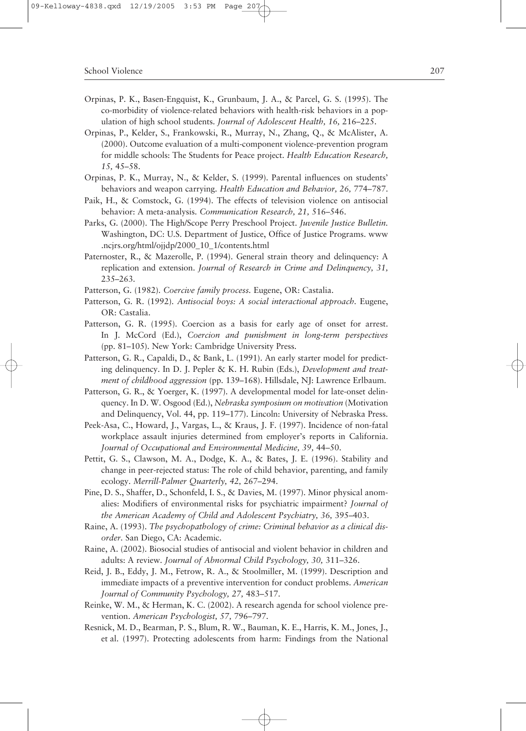- Orpinas, P. K., Basen-Engquist, K., Grunbaum, J. A., & Parcel, G. S. (1995). The co-morbidity of violence-related behaviors with health-risk behaviors in a population of high school students. *Journal of Adolescent Health, 16,* 216–225.
- Orpinas, P., Kelder, S., Frankowski, R., Murray, N., Zhang, Q., & McAlister, A. (2000). Outcome evaluation of a multi-component violence-prevention program for middle schools: The Students for Peace project. *Health Education Research, 15,* 45–58.
- Orpinas, P. K., Murray, N., & Kelder, S. (1999). Parental influences on students' behaviors and weapon carrying. *Health Education and Behavior, 26,* 774–787.
- Paik, H., & Comstock, G. (1994). The effects of television violence on antisocial behavior: A meta-analysis. *Communication Research, 21,* 516–546.
- Parks, G. (2000). The High/Scope Perry Preschool Project. *Juvenile Justice Bulletin.* Washington, DC: U.S. Department of Justice, Office of Justice Programs. www .ncjrs.org/html/ojjdp/2000\_10\_1/contents.html
- Paternoster, R., & Mazerolle, P. (1994). General strain theory and delinquency: A replication and extension. *Journal of Research in Crime and Delinquency, 31,* 235–263.
- Patterson, G. (1982). *Coercive family process.* Eugene, OR: Castalia.
- Patterson, G. R. (1992). *Antisocial boys: A social interactional approach.* Eugene, OR: Castalia.
- Patterson, G. R. (1995). Coercion as a basis for early age of onset for arrest. In J. McCord (Ed.), *Coercion and punishment in long-term perspectives* (pp. 81–105). New York: Cambridge University Press.
- Patterson, G. R., Capaldi, D., & Bank, L. (1991). An early starter model for predicting delinquency. In D. J. Pepler & K. H. Rubin (Eds.), *Development and treatment of childhood aggression* (pp. 139–168). Hillsdale, NJ: Lawrence Erlbaum.
- Patterson, G. R., & Yoerger, K. (1997). A developmental model for late-onset delinquency. In D. W. Osgood (Ed.), *Nebraska symposium on motivation* (Motivation and Delinquency, Vol. 44, pp. 119–177). Lincoln: University of Nebraska Press.
- Peek-Asa, C., Howard, J., Vargas, L., & Kraus, J. F. (1997). Incidence of non-fatal workplace assault injuries determined from employer's reports in California. *Journal of Occupational and Environmental Medicine, 39,* 44–50.
- Pettit, G. S., Clawson, M. A., Dodge, K. A., & Bates, J. E. (1996). Stability and change in peer-rejected status: The role of child behavior, parenting, and family ecology. *Merrill-Palmer Quarterly, 42,* 267–294.
- Pine, D. S., Shaffer, D., Schonfeld, I. S., & Davies, M. (1997). Minor physical anomalies: Modifiers of environmental risks for psychiatric impairment? *Journal of the American Academy of Child and Adolescent Psychiatry, 36,* 395–403.
- Raine, A. (1993). *The psychopathology of crime: Criminal behavior as a clinical disorder.* San Diego, CA: Academic.
- Raine, A. (2002). Biosocial studies of antisocial and violent behavior in children and adults: A review. *Journal of Abnormal Child Psychology, 30,* 311–326.
- Reid, J. B., Eddy, J. M., Fetrow, R. A., & Stoolmiller, M. (1999). Description and immediate impacts of a preventive intervention for conduct problems. *American Journal of Community Psychology, 27,* 483–517.
- Reinke, W. M., & Herman, K. C. (2002). A research agenda for school violence prevention. *American Psychologist, 57,* 796–797.
- Resnick, M. D., Bearman, P. S., Blum, R. W., Bauman, K. E., Harris, K. M., Jones, J., et al. (1997). Protecting adolescents from harm: Findings from the National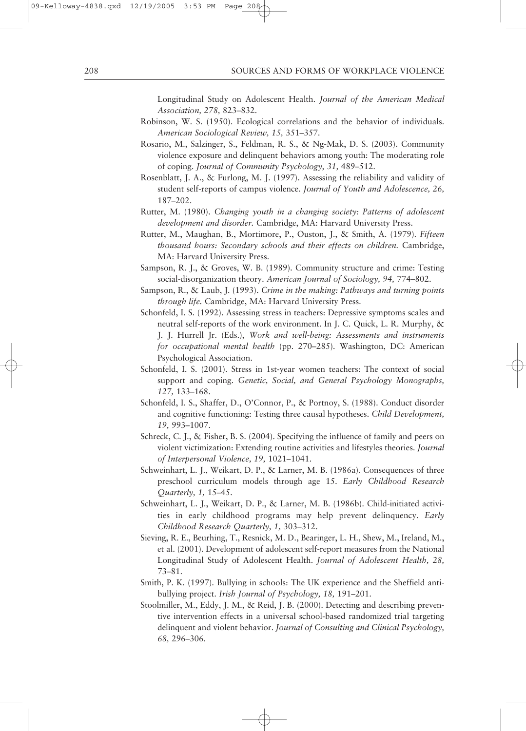#### 208 SOURCES AND FORMS OF WORKPLACE VIOLENCE

Longitudinal Study on Adolescent Health. *Journal of the American Medical Association, 278,* 823–832.

- Robinson, W. S. (1950). Ecological correlations and the behavior of individuals. *American Sociological Review, 15,* 351–357.
- Rosario, M., Salzinger, S., Feldman, R. S., & Ng-Mak, D. S. (2003). Community violence exposure and delinquent behaviors among youth: The moderating role of coping. *Journal of Community Psychology, 31,* 489–512.
- Rosenblatt, J. A., & Furlong, M. J. (1997). Assessing the reliability and validity of student self-reports of campus violence. *Journal of Youth and Adolescence, 26,* 187–202.
- Rutter, M. (1980). *Changing youth in a changing society: Patterns of adolescent development and disorder.* Cambridge, MA: Harvard University Press.
- Rutter, M., Maughan, B., Mortimore, P., Ouston, J., & Smith, A. (1979). *Fifteen thousand hours: Secondary schools and their effects on children.* Cambridge, MA: Harvard University Press.
- Sampson, R. J., & Groves, W. B. (1989). Community structure and crime: Testing social-disorganization theory. *American Journal of Sociology, 94,* 774–802.
- Sampson, R., & Laub, J. (1993). *Crime in the making: Pathways and turning points through life.* Cambridge, MA: Harvard University Press.
- Schonfeld, I. S. (1992). Assessing stress in teachers: Depressive symptoms scales and neutral self-reports of the work environment. In J. C. Quick, L. R. Murphy, & J. J. Hurrell Jr. (Eds.), *Work and well-being: Assessments and instruments for occupational mental health* (pp. 270–285). Washington, DC: American Psychological Association.
- Schonfeld, I. S. (2001). Stress in 1st-year women teachers: The context of social support and coping. *Genetic, Social, and General Psychology Monographs, 127,* 133–168.
- Schonfeld, I. S., Shaffer, D., O'Connor, P., & Portnoy, S. (1988). Conduct disorder and cognitive functioning: Testing three causal hypotheses. *Child Development, 19,* 993–1007.
- Schreck, C. J., & Fisher, B. S. (2004). Specifying the influence of family and peers on violent victimization: Extending routine activities and lifestyles theories. *Journal of Interpersonal Violence, 19,* 1021–1041.
- Schweinhart, L. J., Weikart, D. P., & Larner, M. B. (1986a). Consequences of three preschool curriculum models through age 15. *Early Childhood Research Quarterly, 1,* 15–45.
- Schweinhart, L. J., Weikart, D. P., & Larner, M. B. (1986b). Child-initiated activities in early childhood programs may help prevent delinquency. *Early Childhood Research Quarterly, 1,* 303–312.
- Sieving, R. E., Beurhing, T., Resnick, M. D., Bearinger, L. H., Shew, M., Ireland, M., et al. (2001). Development of adolescent self-report measures from the National Longitudinal Study of Adolescent Health. *Journal of Adolescent Health, 28,* 73–81.
- Smith, P. K. (1997). Bullying in schools: The UK experience and the Sheffield antibullying project. *Irish Journal of Psychology, 18,* 191–201.
- Stoolmiller, M., Eddy, J. M., & Reid, J. B. (2000). Detecting and describing preventive intervention effects in a universal school-based randomized trial targeting delinquent and violent behavior. *Journal of Consulting and Clinical Psychology, 68,* 296–306.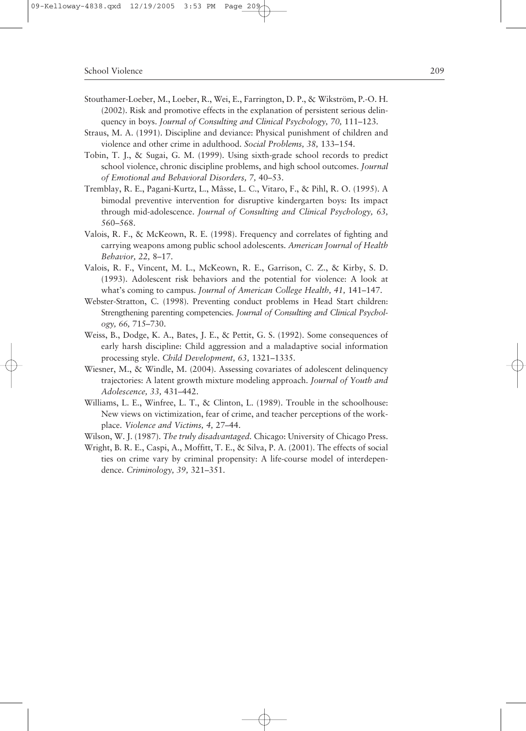- Stouthamer-Loeber, M., Loeber, R., Wei, E., Farrington, D. P., & Wikström, P.-O. H. (2002). Risk and promotive effects in the explanation of persistent serious delinquency in boys. *Journal of Consulting and Clinical Psychology, 70,* 111–123.
- Straus, M. A. (1991). Discipline and deviance: Physical punishment of children and violence and other crime in adulthood. *Social Problems, 38,* 133–154.
- Tobin, T. J., & Sugai, G. M. (1999). Using sixth-grade school records to predict school violence, chronic discipline problems, and high school outcomes. *Journal of Emotional and Behavioral Disorders, 7,* 40–53.
- Tremblay, R. E., Pagani-Kurtz, L., Mâsse, L. C., Vitaro, F., & Pihl, R. O. (1995). A bimodal preventive intervention for disruptive kindergarten boys: Its impact through mid-adolescence. *Journal of Consulting and Clinical Psychology, 63,* 560–568.
- Valois, R. F., & McKeown, R. E. (1998). Frequency and correlates of fighting and carrying weapons among public school adolescents. *American Journal of Health Behavior, 22,* 8–17.
- Valois, R. F., Vincent, M. L., McKeown, R. E., Garrison, C. Z., & Kirby, S. D. (1993). Adolescent risk behaviors and the potential for violence: A look at what's coming to campus. *Journal of American College Health, 41,* 141–147.
- Webster-Stratton, C. (1998). Preventing conduct problems in Head Start children: Strengthening parenting competencies. *Journal of Consulting and Clinical Psychology, 66,* 715–730.
- Weiss, B., Dodge, K. A., Bates, J. E., & Pettit, G. S. (1992). Some consequences of early harsh discipline: Child aggression and a maladaptive social information processing style. *Child Development, 63,* 1321–1335.
- Wiesner, M., & Windle, M. (2004). Assessing covariates of adolescent delinquency trajectories: A latent growth mixture modeling approach. *Journal of Youth and Adolescence, 33,* 431–442.
- Williams, L. E., Winfree, L. T., & Clinton, L. (1989). Trouble in the schoolhouse: New views on victimization, fear of crime, and teacher perceptions of the workplace. *Violence and Victims, 4,* 27–44.
- Wilson, W. J. (1987). *The truly disadvantaged.* Chicago: University of Chicago Press.
- Wright, B. R. E., Caspi, A., Moffitt, T. E., & Silva, P. A. (2001). The effects of social ties on crime vary by criminal propensity: A life-course model of interdependence. *Criminology, 39,* 321–351.